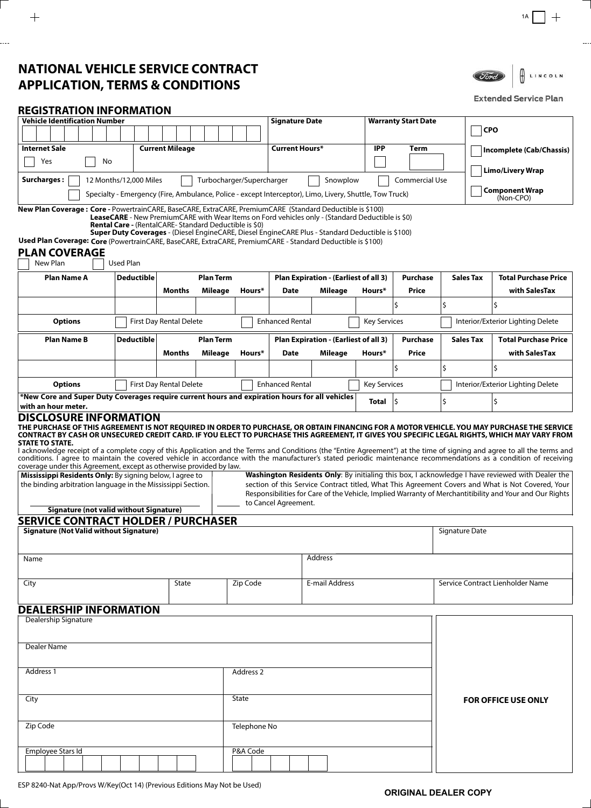# **NATIONAL VEHICLE SERVICE CONTRACT APPLICATION, TERMS & CONDITIONS**



### **Extended Service Plan**

## **REGISTRATION INFORMATION**

| <b>Vehicle Identification Number</b>                                                                                                                                                                                                                                                                                                                                                                                                                                                                                                                                                                                                                                 | <b>Signature Date</b>                                                                             |                             | <b>Warranty Start Date</b> |                |                                       |                                       |                                  |                     |    |                  |                                                                                                                                                                                                              |  |
|----------------------------------------------------------------------------------------------------------------------------------------------------------------------------------------------------------------------------------------------------------------------------------------------------------------------------------------------------------------------------------------------------------------------------------------------------------------------------------------------------------------------------------------------------------------------------------------------------------------------------------------------------------------------|---------------------------------------------------------------------------------------------------|-----------------------------|----------------------------|----------------|---------------------------------------|---------------------------------------|----------------------------------|---------------------|----|------------------|--------------------------------------------------------------------------------------------------------------------------------------------------------------------------------------------------------------|--|
|                                                                                                                                                                                                                                                                                                                                                                                                                                                                                                                                                                                                                                                                      |                                                                                                   |                             |                            |                |                                       |                                       |                                  |                     |    |                  | <b>CPO</b>                                                                                                                                                                                                   |  |
| <b>Internet Sale</b>                                                                                                                                                                                                                                                                                                                                                                                                                                                                                                                                                                                                                                                 |                                                                                                   | <b>Current Mileage</b>      |                            |                | <b>Current Hours*</b>                 |                                       | <b>IPP</b>                       | Term                |    |                  | Incomplete (Cab/Chassis)                                                                                                                                                                                     |  |
| Yes<br>No                                                                                                                                                                                                                                                                                                                                                                                                                                                                                                                                                                                                                                                            |                                                                                                   |                             |                            |                |                                       |                                       |                                  |                     |    |                  |                                                                                                                                                                                                              |  |
| <b>Surcharges:</b><br>Commercial Use<br>12 Months/12,000 Miles<br>Turbocharger/Supercharger<br>Snowplow                                                                                                                                                                                                                                                                                                                                                                                                                                                                                                                                                              |                                                                                                   |                             |                            |                |                                       |                                       |                                  |                     |    |                  | <b>Limo/Livery Wrap</b>                                                                                                                                                                                      |  |
| Specialty - Emergency (Fire, Ambulance, Police - except Interceptor), Limo, Livery, Shuttle, Tow Truck)                                                                                                                                                                                                                                                                                                                                                                                                                                                                                                                                                              |                                                                                                   | Component Wrap<br>(Non-CPO) |                            |                |                                       |                                       |                                  |                     |    |                  |                                                                                                                                                                                                              |  |
| New Plan Coverage: Core - PowertrainCARE, BaseCARE, ExtraCARE, PremiumCARE (Standard Deductible is \$100)                                                                                                                                                                                                                                                                                                                                                                                                                                                                                                                                                            |                                                                                                   |                             |                            |                |                                       |                                       |                                  |                     |    |                  |                                                                                                                                                                                                              |  |
| <b>LeaseCARE</b> - New PremiumCARE with Wear Items on Ford vehicles only - (Standard Deductible is \$0)<br><b>Rental Care - (RentalCARE-Standard Deductible is \$0)</b>                                                                                                                                                                                                                                                                                                                                                                                                                                                                                              |                                                                                                   |                             |                            |                |                                       |                                       |                                  |                     |    |                  |                                                                                                                                                                                                              |  |
| Used Plan Coverage: Core (PowertrainCARE, BaseCARE, ExtraCARE, PremiumCARE - Standard Deductible is \$100)                                                                                                                                                                                                                                                                                                                                                                                                                                                                                                                                                           | Super Duty Coverages - (Diesel EngineCARE, Diesel EngineCARE Plus - Standard Deductible is \$100) |                             |                            |                |                                       |                                       |                                  |                     |    |                  |                                                                                                                                                                                                              |  |
| <b>PLAN COVERAGE</b>                                                                                                                                                                                                                                                                                                                                                                                                                                                                                                                                                                                                                                                 |                                                                                                   |                             |                            |                |                                       |                                       |                                  |                     |    |                  |                                                                                                                                                                                                              |  |
| New Plan<br><b>Used Plan</b>                                                                                                                                                                                                                                                                                                                                                                                                                                                                                                                                                                                                                                         |                                                                                                   |                             |                            |                |                                       |                                       |                                  |                     |    |                  |                                                                                                                                                                                                              |  |
| <b>Plan Name A</b>                                                                                                                                                                                                                                                                                                                                                                                                                                                                                                                                                                                                                                                   | Deductible                                                                                        |                             | <b>Plan Term</b>           |                | Plan Expiration - (Earliest of all 3) |                                       |                                  | <b>Purchase</b>     |    | <b>Sales Tax</b> | <b>Total Purchase Price</b>                                                                                                                                                                                  |  |
|                                                                                                                                                                                                                                                                                                                                                                                                                                                                                                                                                                                                                                                                      |                                                                                                   | Months                      | <b>Mileage</b>             | Hours*         | Date                                  | Mileage                               | Hours*                           | Price               |    |                  | with SalesTax                                                                                                                                                                                                |  |
|                                                                                                                                                                                                                                                                                                                                                                                                                                                                                                                                                                                                                                                                      |                                                                                                   |                             |                            |                |                                       |                                       |                                  | \$                  | \$ |                  | Ś                                                                                                                                                                                                            |  |
| <b>Options</b>                                                                                                                                                                                                                                                                                                                                                                                                                                                                                                                                                                                                                                                       |                                                                                                   | First Day Rental Delete     |                            |                | <b>Enhanced Rental</b>                |                                       |                                  | <b>Key Services</b> |    |                  | Interior/Exterior Lighting Delete                                                                                                                                                                            |  |
| <b>Plan Name B</b>                                                                                                                                                                                                                                                                                                                                                                                                                                                                                                                                                                                                                                                   | <b>Deductible</b>                                                                                 |                             | <b>Plan Term</b>           |                |                                       | Plan Expiration - (Earliest of all 3) |                                  | <b>Purchase</b>     |    | <b>Sales Tax</b> | <b>Total Purchase Price</b>                                                                                                                                                                                  |  |
|                                                                                                                                                                                                                                                                                                                                                                                                                                                                                                                                                                                                                                                                      |                                                                                                   | Months                      | Mileage                    | Hours*         | <b>Date</b>                           | Mileage                               | Hours*                           | Price               |    |                  | with SalesTax                                                                                                                                                                                                |  |
|                                                                                                                                                                                                                                                                                                                                                                                                                                                                                                                                                                                                                                                                      |                                                                                                   |                             |                            |                |                                       |                                       |                                  |                     | \$ |                  | \$                                                                                                                                                                                                           |  |
| <b>Options</b><br>First Day Rental Delete<br><b>Enhanced Rental</b><br><b>Key Services</b>                                                                                                                                                                                                                                                                                                                                                                                                                                                                                                                                                                           |                                                                                                   |                             |                            |                |                                       |                                       |                                  |                     |    |                  | Interior/Exterior Lighting Delete                                                                                                                                                                            |  |
| *New Core and Super Duty Coverages require current hours and expiration hours for all vehicles                                                                                                                                                                                                                                                                                                                                                                                                                                                                                                                                                                       |                                                                                                   |                             |                            |                |                                       |                                       | <b>Total</b>                     | l\$                 | \$ |                  |                                                                                                                                                                                                              |  |
| with an hour meter.<br><b>DISCLOSURE INFORMATION</b>                                                                                                                                                                                                                                                                                                                                                                                                                                                                                                                                                                                                                 |                                                                                                   |                             |                            |                |                                       |                                       |                                  |                     |    |                  |                                                                                                                                                                                                              |  |
| THE PURCHASE OF THIS AGREEMENT IS NOT REQUIRED IN ORDER TO PURCHASE, OR OBTAIN FINANCING FOR A MOTOR VEHICLE. YOU MAY PURCHASE THE SERVICE<br>CONTRACT BY CASH OR UNSECURED CREDIT CARD. IF YOU ELECT TO PURCHASE THIS AGREEMENT, IT GIVES YOU SPECIFIC LEGAL RIGHTS, WHICH MAY VARY FROM<br><b>STATE TO STATE.</b><br>I acknowledge receipt of a complete copy of this Application and the Terms and Conditions (the "Entire Agreement") at the time of signing and agree to all the terms and<br>conditions. I agree to maintain the covered vehicle in accordance with the manufacturer's stated periodic maintenance recommendations as a condition of receiving |                                                                                                   |                             |                            |                |                                       |                                       |                                  |                     |    |                  |                                                                                                                                                                                                              |  |
| coverage under this Agreement, except as otherwise provided by law.<br>Mississippi Residents Only: By signing below, I agree to                                                                                                                                                                                                                                                                                                                                                                                                                                                                                                                                      |                                                                                                   |                             |                            |                |                                       |                                       |                                  |                     |    |                  | Washington Residents Only: By initialing this box, I acknowledge I have reviewed with Dealer the                                                                                                             |  |
| the binding arbitration language in the Mississippi Section.                                                                                                                                                                                                                                                                                                                                                                                                                                                                                                                                                                                                         |                                                                                                   |                             |                            |                |                                       |                                       |                                  |                     |    |                  | section of this Service Contract titled, What This Agreement Covers and What is Not Covered, Your<br>Responsibilities for Care of the Vehicle, Implied Warranty of Merchantitibility and Your and Our Rights |  |
| Signature (not valid without Signature)                                                                                                                                                                                                                                                                                                                                                                                                                                                                                                                                                                                                                              |                                                                                                   |                             |                            |                | to Cancel Agreement.                  |                                       |                                  |                     |    |                  |                                                                                                                                                                                                              |  |
| <b>SERVICE CONTRACT HOLDER / PURCHASER</b>                                                                                                                                                                                                                                                                                                                                                                                                                                                                                                                                                                                                                           |                                                                                                   |                             |                            |                |                                       |                                       |                                  |                     |    |                  |                                                                                                                                                                                                              |  |
| <b>Signature (Not Valid without Signature)</b>                                                                                                                                                                                                                                                                                                                                                                                                                                                                                                                                                                                                                       |                                                                                                   |                             |                            |                |                                       |                                       | Signature Date                   |                     |    |                  |                                                                                                                                                                                                              |  |
| Name                                                                                                                                                                                                                                                                                                                                                                                                                                                                                                                                                                                                                                                                 |                                                                                                   |                             |                            |                |                                       | Address                               |                                  |                     |    |                  |                                                                                                                                                                                                              |  |
|                                                                                                                                                                                                                                                                                                                                                                                                                                                                                                                                                                                                                                                                      |                                                                                                   |                             |                            |                |                                       |                                       |                                  |                     |    |                  |                                                                                                                                                                                                              |  |
| City                                                                                                                                                                                                                                                                                                                                                                                                                                                                                                                                                                                                                                                                 |                                                                                                   | Zip Code                    |                            | E-mail Address |                                       |                                       | Service Contract Lienholder Name |                     |    |                  |                                                                                                                                                                                                              |  |
| <b>DEALERSHIP INFORMATION</b>                                                                                                                                                                                                                                                                                                                                                                                                                                                                                                                                                                                                                                        |                                                                                                   |                             |                            |                |                                       |                                       |                                  |                     |    |                  |                                                                                                                                                                                                              |  |
| Dealership Signature                                                                                                                                                                                                                                                                                                                                                                                                                                                                                                                                                                                                                                                 |                                                                                                   |                             |                            |                |                                       |                                       |                                  |                     |    |                  |                                                                                                                                                                                                              |  |
|                                                                                                                                                                                                                                                                                                                                                                                                                                                                                                                                                                                                                                                                      |                                                                                                   |                             |                            |                |                                       |                                       |                                  |                     |    |                  |                                                                                                                                                                                                              |  |
| Dealer Name                                                                                                                                                                                                                                                                                                                                                                                                                                                                                                                                                                                                                                                          |                                                                                                   |                             |                            |                |                                       |                                       |                                  |                     |    |                  |                                                                                                                                                                                                              |  |
|                                                                                                                                                                                                                                                                                                                                                                                                                                                                                                                                                                                                                                                                      |                                                                                                   |                             |                            |                |                                       |                                       |                                  |                     |    |                  |                                                                                                                                                                                                              |  |
| Address 1                                                                                                                                                                                                                                                                                                                                                                                                                                                                                                                                                                                                                                                            |                                                                                                   |                             |                            | Address 2      |                                       |                                       |                                  |                     |    |                  |                                                                                                                                                                                                              |  |
| City                                                                                                                                                                                                                                                                                                                                                                                                                                                                                                                                                                                                                                                                 |                                                                                                   |                             |                            | State          |                                       |                                       |                                  |                     |    |                  | <b>FOR OFFICE USE ONLY</b>                                                                                                                                                                                   |  |
|                                                                                                                                                                                                                                                                                                                                                                                                                                                                                                                                                                                                                                                                      |                                                                                                   |                             |                            |                |                                       |                                       |                                  |                     |    |                  |                                                                                                                                                                                                              |  |
| Zip Code                                                                                                                                                                                                                                                                                                                                                                                                                                                                                                                                                                                                                                                             |                                                                                                   |                             |                            | Telephone No   |                                       |                                       |                                  |                     |    |                  |                                                                                                                                                                                                              |  |
|                                                                                                                                                                                                                                                                                                                                                                                                                                                                                                                                                                                                                                                                      |                                                                                                   |                             |                            |                |                                       |                                       |                                  |                     |    |                  |                                                                                                                                                                                                              |  |
| Employee Stars Id                                                                                                                                                                                                                                                                                                                                                                                                                                                                                                                                                                                                                                                    |                                                                                                   |                             |                            | P&A Code       |                                       |                                       |                                  |                     |    |                  |                                                                                                                                                                                                              |  |
|                                                                                                                                                                                                                                                                                                                                                                                                                                                                                                                                                                                                                                                                      |                                                                                                   |                             |                            |                |                                       |                                       |                                  |                     |    |                  |                                                                                                                                                                                                              |  |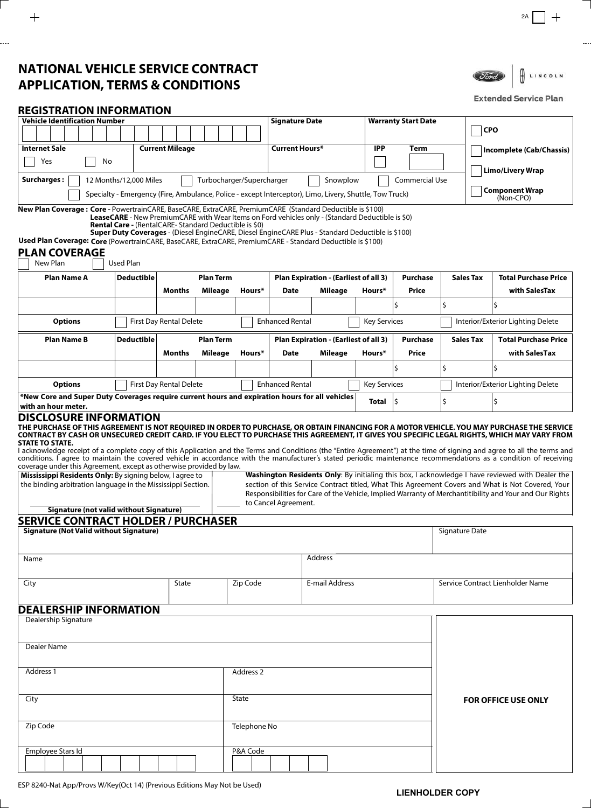# **NATIONAL VEHICLE SERVICE CONTRACT APPLICATION, TERMS & CONDITIONS**



### **Extended Service Plan**

## **REGISTRATION INFORMATION**

| <b>Vehicle Identification Number</b><br><b>Signature Date</b><br><b>Warranty Start Date</b>                                                                                                                                              |                                                                                                                                                                   |                         |                  |                       |                                                          |                                       |                     |                 |                |                  |                                                                                                                                                                                                       |  |
|------------------------------------------------------------------------------------------------------------------------------------------------------------------------------------------------------------------------------------------|-------------------------------------------------------------------------------------------------------------------------------------------------------------------|-------------------------|------------------|-----------------------|----------------------------------------------------------|---------------------------------------|---------------------|-----------------|----------------|------------------|-------------------------------------------------------------------------------------------------------------------------------------------------------------------------------------------------------|--|
|                                                                                                                                                                                                                                          |                                                                                                                                                                   |                         |                  |                       |                                                          |                                       |                     |                 |                | <b>CPO</b>       |                                                                                                                                                                                                       |  |
| <b>Internet Sale</b>                                                                                                                                                                                                                     |                                                                                                                                                                   | <b>Current Mileage</b>  |                  |                       | <b>Current Hours*</b>                                    |                                       | <b>IPP</b>          | Term            |                |                  | Incomplete (Cab/Chassis)                                                                                                                                                                              |  |
| Yes<br>No                                                                                                                                                                                                                                |                                                                                                                                                                   |                         |                  |                       |                                                          |                                       |                     |                 |                |                  |                                                                                                                                                                                                       |  |
| <b>Surcharges:</b><br><b>Commercial Use</b><br>12 Months/12,000 Miles<br>Turbocharger/Supercharger<br>Snowplow                                                                                                                           |                                                                                                                                                                   |                         |                  |                       |                                                          |                                       |                     |                 |                |                  | <b>Limo/Livery Wrap</b>                                                                                                                                                                               |  |
| Specialty - Emergency (Fire, Ambulance, Police - except Interceptor), Limo, Livery, Shuttle, Tow Truck)                                                                                                                                  |                                                                                                                                                                   |                         |                  | <b>Component Wrap</b> |                                                          |                                       |                     |                 |                |                  |                                                                                                                                                                                                       |  |
| New Plan Coverage: Core - PowertrainCARE, BaseCARE, ExtraCARE, PremiumCARE (Standard Deductible is \$100)                                                                                                                                |                                                                                                                                                                   |                         | (Non-CPO)        |                       |                                                          |                                       |                     |                 |                |                  |                                                                                                                                                                                                       |  |
|                                                                                                                                                                                                                                          | LeaseCARE - New PremiumCARE with Wear Items on Ford vehicles only - (Standard Deductible is \$0)                                                                  |                         |                  |                       |                                                          |                                       |                     |                 |                |                  |                                                                                                                                                                                                       |  |
|                                                                                                                                                                                                                                          | <b>Rental Care - (RentalCARE-Standard Deductible is \$0)</b><br>Super Duty Coverages - (Diesel EngineCARE, Diesel EngineCARE Plus - Standard Deductible is \$100) |                         |                  |                       |                                                          |                                       |                     |                 |                |                  |                                                                                                                                                                                                       |  |
| Used Plan Coverage: Core (PowertrainCARE, BaseCARE, ExtraCARE, PremiumCARE - Standard Deductible is \$100)                                                                                                                               |                                                                                                                                                                   |                         |                  |                       |                                                          |                                       |                     |                 |                |                  |                                                                                                                                                                                                       |  |
| <b>PLAN COVERAGE</b><br>New Plan                                                                                                                                                                                                         | <b>Used Plan</b>                                                                                                                                                  |                         |                  |                       |                                                          |                                       |                     |                 |                |                  |                                                                                                                                                                                                       |  |
| <b>Plan Name A</b>                                                                                                                                                                                                                       | Deductible                                                                                                                                                        |                         | <b>Plan Term</b> |                       |                                                          |                                       |                     | Purchase        |                | Sales Tax        | <b>Total Purchase Price</b>                                                                                                                                                                           |  |
|                                                                                                                                                                                                                                          |                                                                                                                                                                   | Months                  | <b>Mileage</b>   | Hours*                | Plan Expiration - (Earliest of all 3)<br>Date<br>Mileage |                                       | Hours*              | Price           |                |                  | with SalesTax                                                                                                                                                                                         |  |
|                                                                                                                                                                                                                                          |                                                                                                                                                                   |                         |                  |                       |                                                          |                                       |                     | Ś               | \$             |                  |                                                                                                                                                                                                       |  |
|                                                                                                                                                                                                                                          |                                                                                                                                                                   |                         |                  |                       |                                                          |                                       |                     |                 |                |                  |                                                                                                                                                                                                       |  |
| <b>Options</b>                                                                                                                                                                                                                           |                                                                                                                                                                   | First Day Rental Delete |                  |                       | <b>Enhanced Rental</b>                                   |                                       | <b>Key Services</b> |                 |                |                  | Interior/Exterior Lighting Delete                                                                                                                                                                     |  |
| <b>Plan Name B</b>                                                                                                                                                                                                                       | <b>Deductible</b>                                                                                                                                                 |                         | <b>Plan Term</b> |                       |                                                          | Plan Expiration - (Earliest of all 3) |                     | <b>Purchase</b> |                | <b>Sales Tax</b> | <b>Total Purchase Price</b>                                                                                                                                                                           |  |
|                                                                                                                                                                                                                                          |                                                                                                                                                                   | Months                  | Mileage          | Hours*                | <b>Date</b>                                              | Mileage                               | Hours*              | Price           |                |                  | with SalesTax                                                                                                                                                                                         |  |
|                                                                                                                                                                                                                                          |                                                                                                                                                                   |                         |                  |                       |                                                          |                                       |                     |                 | \$             |                  |                                                                                                                                                                                                       |  |
| <b>Options</b>                                                                                                                                                                                                                           | <b>Enhanced Rental</b><br><b>First Day Rental Delete</b><br><b>Key Services</b>                                                                                   |                         |                  |                       |                                                          |                                       |                     |                 |                |                  |                                                                                                                                                                                                       |  |
| *New Core and Super Duty Coverages require current hours and expiration hours for all vehicles                                                                                                                                           |                                                                                                                                                                   |                         |                  |                       |                                                          |                                       | <b>Total</b>        | l\$             | Ś.             |                  |                                                                                                                                                                                                       |  |
| with an hour meter.<br><b>DISCLOSURE INFORMATION</b>                                                                                                                                                                                     |                                                                                                                                                                   |                         |                  |                       |                                                          |                                       |                     |                 |                |                  |                                                                                                                                                                                                       |  |
| THE PURCHASE OF THIS AGREEMENT IS NOT REQUIRED IN ORDER TO PURCHASE, OR OBTAIN FINANCING FOR A MOTOR VEHICLE. YOU MAY PURCHASE THE SERVICE                                                                                               |                                                                                                                                                                   |                         |                  |                       |                                                          |                                       |                     |                 |                |                  |                                                                                                                                                                                                       |  |
| CONTRACT BY CASH OR UNSECURED CREDIT CARD. IF YOU ELECT TO PURCHASE THIS AGREEMENT, IT GIVES YOU SPECIFIC LEGAL RIGHTS, WHICH MAY VARY FROM<br><b>STATE TO STATE.</b>                                                                    |                                                                                                                                                                   |                         |                  |                       |                                                          |                                       |                     |                 |                |                  |                                                                                                                                                                                                       |  |
| I acknowledge receipt of a complete copy of this Application and the Terms and Conditions (the "Entire Agreement") at the time of signing and agree to all the terms and                                                                 |                                                                                                                                                                   |                         |                  |                       |                                                          |                                       |                     |                 |                |                  |                                                                                                                                                                                                       |  |
| conditions. I agree to maintain the covered vehicle in accordance with the manufacturer's stated periodic maintenance recommendations as a condition of receiving<br>coverage under this Agreement, except as otherwise provided by law. |                                                                                                                                                                   |                         |                  |                       |                                                          |                                       |                     |                 |                |                  |                                                                                                                                                                                                       |  |
| Mississippi Residents Only: By signing below, I agree to<br>the binding arbitration language in the Mississippi Section.                                                                                                                 |                                                                                                                                                                   |                         |                  |                       |                                                          |                                       |                     |                 |                |                  | Washington Residents Only: By initialing this box, I acknowledge I have reviewed with Dealer the<br>section of this Service Contract titled, What This Agreement Covers and What is Not Covered, Your |  |
|                                                                                                                                                                                                                                          |                                                                                                                                                                   |                         |                  |                       |                                                          |                                       |                     |                 |                |                  | Responsibilities for Care of the Vehicle, Implied Warranty of Merchantitibility and Your and Our Rights                                                                                               |  |
| Signature (not valid without Signature)                                                                                                                                                                                                  |                                                                                                                                                                   |                         |                  |                       | to Cancel Agreement.                                     |                                       |                     |                 |                |                  |                                                                                                                                                                                                       |  |
| <b>SERVICE CONTRACT HOLDER / PURCHASER</b>                                                                                                                                                                                               |                                                                                                                                                                   |                         |                  |                       |                                                          |                                       |                     |                 |                |                  |                                                                                                                                                                                                       |  |
| <b>Signature (Not Valid without Signature)</b>                                                                                                                                                                                           |                                                                                                                                                                   |                         |                  |                       |                                                          |                                       |                     |                 | Signature Date |                  |                                                                                                                                                                                                       |  |
|                                                                                                                                                                                                                                          |                                                                                                                                                                   |                         |                  |                       |                                                          |                                       |                     |                 |                |                  |                                                                                                                                                                                                       |  |
| Name                                                                                                                                                                                                                                     |                                                                                                                                                                   |                         |                  |                       |                                                          | <b>Address</b>                        |                     |                 |                |                  |                                                                                                                                                                                                       |  |
| City                                                                                                                                                                                                                                     |                                                                                                                                                                   | State                   |                  | Zip Code              |                                                          | E-mail Address                        |                     |                 |                |                  | Service Contract Lienholder Name                                                                                                                                                                      |  |
|                                                                                                                                                                                                                                          |                                                                                                                                                                   |                         |                  |                       |                                                          |                                       |                     |                 |                |                  |                                                                                                                                                                                                       |  |
| <b>DEALERSHIP INFORMATION</b>                                                                                                                                                                                                            |                                                                                                                                                                   |                         |                  |                       |                                                          |                                       |                     |                 |                |                  |                                                                                                                                                                                                       |  |
| Dealership Signature                                                                                                                                                                                                                     |                                                                                                                                                                   |                         |                  |                       |                                                          |                                       |                     |                 |                |                  |                                                                                                                                                                                                       |  |
|                                                                                                                                                                                                                                          |                                                                                                                                                                   |                         |                  |                       |                                                          |                                       |                     |                 |                |                  |                                                                                                                                                                                                       |  |
| Dealer Name                                                                                                                                                                                                                              |                                                                                                                                                                   |                         |                  |                       |                                                          |                                       |                     |                 |                |                  |                                                                                                                                                                                                       |  |
|                                                                                                                                                                                                                                          |                                                                                                                                                                   |                         |                  |                       |                                                          |                                       |                     |                 |                |                  |                                                                                                                                                                                                       |  |
| Address 1                                                                                                                                                                                                                                |                                                                                                                                                                   |                         |                  | Address 2             |                                                          |                                       |                     |                 |                |                  |                                                                                                                                                                                                       |  |
|                                                                                                                                                                                                                                          |                                                                                                                                                                   |                         |                  |                       |                                                          |                                       |                     |                 |                |                  |                                                                                                                                                                                                       |  |
| City                                                                                                                                                                                                                                     |                                                                                                                                                                   |                         |                  | State                 |                                                          |                                       |                     |                 |                |                  | <b>FOR OFFICE USE ONLY</b>                                                                                                                                                                            |  |
|                                                                                                                                                                                                                                          |                                                                                                                                                                   |                         |                  |                       |                                                          |                                       |                     |                 |                |                  |                                                                                                                                                                                                       |  |
| Zip Code                                                                                                                                                                                                                                 |                                                                                                                                                                   |                         |                  | Telephone No          |                                                          |                                       |                     |                 |                |                  |                                                                                                                                                                                                       |  |
|                                                                                                                                                                                                                                          |                                                                                                                                                                   |                         |                  |                       |                                                          |                                       |                     |                 |                |                  |                                                                                                                                                                                                       |  |
| Employee Stars Id                                                                                                                                                                                                                        |                                                                                                                                                                   |                         |                  | P&A Code              |                                                          |                                       |                     |                 |                |                  |                                                                                                                                                                                                       |  |
|                                                                                                                                                                                                                                          |                                                                                                                                                                   |                         |                  |                       |                                                          |                                       |                     |                 |                |                  |                                                                                                                                                                                                       |  |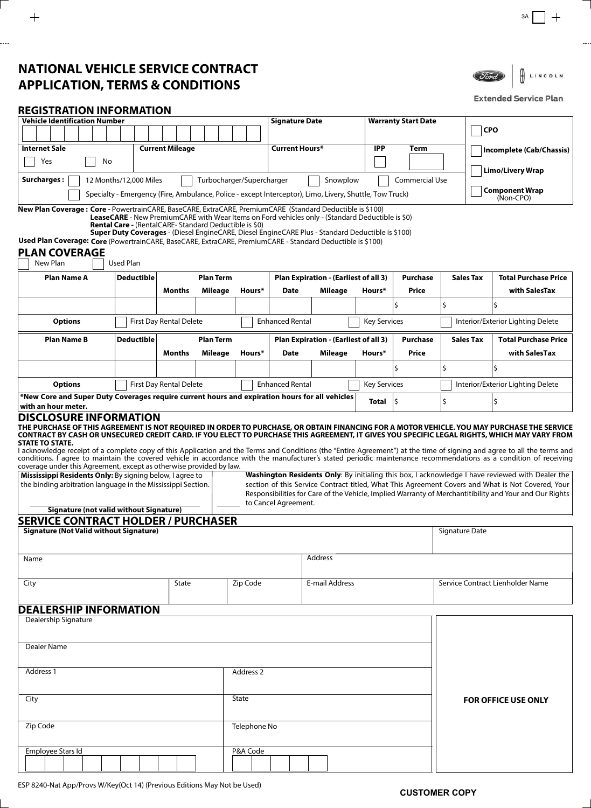# **NATIONAL VEHICLE SERVICE CONTRACT APPLICATION, TERMS & CONDITIONS**



### **Extended Service Plan**

## **REGISTRATION INFORMATION**

| <b>Internet Sale</b><br><b>Current Mileage</b><br>Current Hours*<br><b>IPP</b><br>Term<br>Yes<br>No<br><b>Limo/Livery Wrap</b><br><b>Surcharges:</b><br>12 Months/12,000 Miles<br>Turbocharger/Supercharger<br>Snowplow<br>Commercial Use<br><b>Component Wrap</b><br>Specialty - Emergency (Fire, Ambulance, Police - except Interceptor), Limo, Livery, Shuttle, Tow Truck)<br>(Non-CPO)<br>LeaseCARE - New PremiumCARE with Wear Items on Ford vehicles only - (Standard Deductible is \$0)<br>Rental Care - (RentalCARE-Standard Deductible is \$0)<br>Super Duty Coverages - (Diesel EngineCARE, Diesel EngineCARE Plus - Standard Deductible is \$100)<br>New Plan<br><b>Used Plan</b><br><b>Plan Term</b><br><b>Sales Tax</b><br><b>Plan Name A</b><br><b>Deductible</b><br>Plan Expiration - (Earliest of all 3)<br>Purchase<br><b>Months</b><br>Mileage<br>Hours*<br>Mileage<br>Price<br>with SalesTax<br>Date<br>Hours*<br>\$<br>\$<br><b>Enhanced Rental</b><br><b>Key Services</b><br><b>Options</b><br><b>First Day Rental Delete</b><br>Interior/Exterior Lighting Delete<br><b>Plan Term</b><br>Plan Expiration - (Earliest of all 3)<br><b>Purchase</b><br><b>Total Purchase Price</b><br><b>Plan Name B</b><br>Deductible<br><b>Sales Tax</b><br>Months<br>Mileage<br>Price<br>with SalesTax<br>Hours*<br>Date<br>Mileage<br>Hours*<br>Ś.<br>l\$<br>\$<br>First Day Rental Delete<br><b>Enhanced Rental</b><br><b>Key Services</b><br><b>Options</b><br>Interior/Exterior Lighting Delete<br>New Core and Super Duty Coverages reguire current hours and expiration hours for all vehicles**<br>\$<br>\$<br>ς<br>Total<br>with an hour meter.<br>Washington Residents Only: By initialing this box, I acknowledge I have reviewed with Dealer the<br>Mississippi Residents Only: By signing below, I agree to<br>section of this Service Contract titled, What This Agreement Covers and What is Not Covered, Your<br>the binding arbitration language in the Mississippi Section.<br>Responsibilities for Care of the Vehicle, Implied Warranty of Merchantitibility and Your and Our Rights<br>to Cancel Agreement.<br><b>Signature (not valid without Signature)</b><br><b>Signature (Not Valid without Signature)</b><br>Signature Date<br>Address<br>Name<br>Zip Code<br>E-mail Address<br>City<br>State<br>Service Contract Lienholder Name<br>Dealership Signature<br><b>Dealer Name</b><br>Address 1<br>Address 2<br>State<br>City<br><b>FOR OFFICE USE ONLY</b><br>Zip Code<br>Telephone No | Vehicle Identification Number |  |  |  |  |  |  |  |  | <b>Signature Date</b> |  |  | <b>Warranty Start Date</b> |  |                          | <b>CPO</b> |  |  |                             |
|-----------------------------------------------------------------------------------------------------------------------------------------------------------------------------------------------------------------------------------------------------------------------------------------------------------------------------------------------------------------------------------------------------------------------------------------------------------------------------------------------------------------------------------------------------------------------------------------------------------------------------------------------------------------------------------------------------------------------------------------------------------------------------------------------------------------------------------------------------------------------------------------------------------------------------------------------------------------------------------------------------------------------------------------------------------------------------------------------------------------------------------------------------------------------------------------------------------------------------------------------------------------------------------------------------------------------------------------------------------------------------------------------------------------------------------------------------------------------------------------------------------------------------------------------------------------------------------------------------------------------------------------------------------------------------------------------------------------------------------------------------------------------------------------------------------------------------------------------------------------------------------------------------------------------------------------------------------------------------------------------------------------------------------------------------------------------------------------------------------------------------------------------------------------------------------------------------------------------------------------------------------------------------------------------------------------------------------------------------------------------------------------------------------------------------------------------------------------------------------------------------------------------|-------------------------------|--|--|--|--|--|--|--|--|-----------------------|--|--|----------------------------|--|--------------------------|------------|--|--|-----------------------------|
| <b>DISCLOSURE INFORMATION</b><br>CONTRACT BY CASH OR UNSECURED CREDIT CARD. IF YOU ELECT TO PURCHASE THIS AGREEMENT, IT GIVES YOU SPECIFIC LEGAL RIGHTS, WHICH MAY VARY FROM<br>coverage under this Agreement, except as otherwise provided by law.<br><b>SERVICE CONTRACT HOLDER / PURCHASER</b>                                                                                                                                                                                                                                                                                                                                                                                                                                                                                                                                                                                                                                                                                                                                                                                                                                                                                                                                                                                                                                                                                                                                                                                                                                                                                                                                                                                                                                                                                                                                                                                                                                                                                                                                                                                                                                                                                                                                                                                                                                                                                                                                                                                                                     |                               |  |  |  |  |  |  |  |  |                       |  |  |                            |  |                          |            |  |  |                             |
|                                                                                                                                                                                                                                                                                                                                                                                                                                                                                                                                                                                                                                                                                                                                                                                                                                                                                                                                                                                                                                                                                                                                                                                                                                                                                                                                                                                                                                                                                                                                                                                                                                                                                                                                                                                                                                                                                                                                                                                                                                                                                                                                                                                                                                                                                                                                                                                                                                                                                                                       |                               |  |  |  |  |  |  |  |  |                       |  |  |                            |  | Incomplete (Cab/Chassis) |            |  |  |                             |
|                                                                                                                                                                                                                                                                                                                                                                                                                                                                                                                                                                                                                                                                                                                                                                                                                                                                                                                                                                                                                                                                                                                                                                                                                                                                                                                                                                                                                                                                                                                                                                                                                                                                                                                                                                                                                                                                                                                                                                                                                                                                                                                                                                                                                                                                                                                                                                                                                                                                                                                       |                               |  |  |  |  |  |  |  |  |                       |  |  |                            |  |                          |            |  |  |                             |
| New Plan Coverage: Core - PowertrainCARE, BaseCARE, ExtraCARE, PremiumCARE (Standard Deductible is \$100)<br>Used Plan Coverage: Core (PowertrainCARE, BaseCARE, ExtraCARE, PremiumCARE - Standard Deductible is \$100)                                                                                                                                                                                                                                                                                                                                                                                                                                                                                                                                                                                                                                                                                                                                                                                                                                                                                                                                                                                                                                                                                                                                                                                                                                                                                                                                                                                                                                                                                                                                                                                                                                                                                                                                                                                                                                                                                                                                                                                                                                                                                                                                                                                                                                                                                               |                               |  |  |  |  |  |  |  |  |                       |  |  |                            |  |                          |            |  |  |                             |
|                                                                                                                                                                                                                                                                                                                                                                                                                                                                                                                                                                                                                                                                                                                                                                                                                                                                                                                                                                                                                                                                                                                                                                                                                                                                                                                                                                                                                                                                                                                                                                                                                                                                                                                                                                                                                                                                                                                                                                                                                                                                                                                                                                                                                                                                                                                                                                                                                                                                                                                       |                               |  |  |  |  |  |  |  |  |                       |  |  |                            |  |                          |            |  |  |                             |
| <b>PLAN COVERAGE</b>                                                                                                                                                                                                                                                                                                                                                                                                                                                                                                                                                                                                                                                                                                                                                                                                                                                                                                                                                                                                                                                                                                                                                                                                                                                                                                                                                                                                                                                                                                                                                                                                                                                                                                                                                                                                                                                                                                                                                                                                                                                                                                                                                                                                                                                                                                                                                                                                                                                                                                  |                               |  |  |  |  |  |  |  |  |                       |  |  |                            |  |                          |            |  |  |                             |
|                                                                                                                                                                                                                                                                                                                                                                                                                                                                                                                                                                                                                                                                                                                                                                                                                                                                                                                                                                                                                                                                                                                                                                                                                                                                                                                                                                                                                                                                                                                                                                                                                                                                                                                                                                                                                                                                                                                                                                                                                                                                                                                                                                                                                                                                                                                                                                                                                                                                                                                       |                               |  |  |  |  |  |  |  |  |                       |  |  |                            |  |                          |            |  |  |                             |
|                                                                                                                                                                                                                                                                                                                                                                                                                                                                                                                                                                                                                                                                                                                                                                                                                                                                                                                                                                                                                                                                                                                                                                                                                                                                                                                                                                                                                                                                                                                                                                                                                                                                                                                                                                                                                                                                                                                                                                                                                                                                                                                                                                                                                                                                                                                                                                                                                                                                                                                       |                               |  |  |  |  |  |  |  |  |                       |  |  |                            |  |                          |            |  |  | <b>Total Purchase Price</b> |
|                                                                                                                                                                                                                                                                                                                                                                                                                                                                                                                                                                                                                                                                                                                                                                                                                                                                                                                                                                                                                                                                                                                                                                                                                                                                                                                                                                                                                                                                                                                                                                                                                                                                                                                                                                                                                                                                                                                                                                                                                                                                                                                                                                                                                                                                                                                                                                                                                                                                                                                       |                               |  |  |  |  |  |  |  |  |                       |  |  |                            |  |                          |            |  |  |                             |
|                                                                                                                                                                                                                                                                                                                                                                                                                                                                                                                                                                                                                                                                                                                                                                                                                                                                                                                                                                                                                                                                                                                                                                                                                                                                                                                                                                                                                                                                                                                                                                                                                                                                                                                                                                                                                                                                                                                                                                                                                                                                                                                                                                                                                                                                                                                                                                                                                                                                                                                       |                               |  |  |  |  |  |  |  |  |                       |  |  |                            |  |                          |            |  |  |                             |
| THE PURCHASE OF THIS AGREEMENT IS NOT REQUIRED IN ORDER TO PURCHASE, OR OBTAIN FINANCING FOR A MOTOR VEHICLE. YOU MAY PURCHASE THE SERVICE<br><b>STATE TO STATE.</b><br>I acknowledge receipt of a complete copy of this Application and the Terms and Conditions (the "Entire Agreement") at the time of signing and agree to all the terms and<br>conditions. I agree to maintain the covered vehicle in accordance with the manufacturer's stated periodic maintenance recommendations as a condition of receiving<br><b>DEALERSHIP INFORMATION</b>                                                                                                                                                                                                                                                                                                                                                                                                                                                                                                                                                                                                                                                                                                                                                                                                                                                                                                                                                                                                                                                                                                                                                                                                                                                                                                                                                                                                                                                                                                                                                                                                                                                                                                                                                                                                                                                                                                                                                                |                               |  |  |  |  |  |  |  |  |                       |  |  |                            |  |                          |            |  |  |                             |
|                                                                                                                                                                                                                                                                                                                                                                                                                                                                                                                                                                                                                                                                                                                                                                                                                                                                                                                                                                                                                                                                                                                                                                                                                                                                                                                                                                                                                                                                                                                                                                                                                                                                                                                                                                                                                                                                                                                                                                                                                                                                                                                                                                                                                                                                                                                                                                                                                                                                                                                       |                               |  |  |  |  |  |  |  |  |                       |  |  |                            |  |                          |            |  |  |                             |
|                                                                                                                                                                                                                                                                                                                                                                                                                                                                                                                                                                                                                                                                                                                                                                                                                                                                                                                                                                                                                                                                                                                                                                                                                                                                                                                                                                                                                                                                                                                                                                                                                                                                                                                                                                                                                                                                                                                                                                                                                                                                                                                                                                                                                                                                                                                                                                                                                                                                                                                       |                               |  |  |  |  |  |  |  |  |                       |  |  |                            |  |                          |            |  |  |                             |
|                                                                                                                                                                                                                                                                                                                                                                                                                                                                                                                                                                                                                                                                                                                                                                                                                                                                                                                                                                                                                                                                                                                                                                                                                                                                                                                                                                                                                                                                                                                                                                                                                                                                                                                                                                                                                                                                                                                                                                                                                                                                                                                                                                                                                                                                                                                                                                                                                                                                                                                       |                               |  |  |  |  |  |  |  |  |                       |  |  |                            |  |                          |            |  |  |                             |
|                                                                                                                                                                                                                                                                                                                                                                                                                                                                                                                                                                                                                                                                                                                                                                                                                                                                                                                                                                                                                                                                                                                                                                                                                                                                                                                                                                                                                                                                                                                                                                                                                                                                                                                                                                                                                                                                                                                                                                                                                                                                                                                                                                                                                                                                                                                                                                                                                                                                                                                       |                               |  |  |  |  |  |  |  |  |                       |  |  |                            |  |                          |            |  |  |                             |
|                                                                                                                                                                                                                                                                                                                                                                                                                                                                                                                                                                                                                                                                                                                                                                                                                                                                                                                                                                                                                                                                                                                                                                                                                                                                                                                                                                                                                                                                                                                                                                                                                                                                                                                                                                                                                                                                                                                                                                                                                                                                                                                                                                                                                                                                                                                                                                                                                                                                                                                       |                               |  |  |  |  |  |  |  |  |                       |  |  |                            |  |                          |            |  |  |                             |
|                                                                                                                                                                                                                                                                                                                                                                                                                                                                                                                                                                                                                                                                                                                                                                                                                                                                                                                                                                                                                                                                                                                                                                                                                                                                                                                                                                                                                                                                                                                                                                                                                                                                                                                                                                                                                                                                                                                                                                                                                                                                                                                                                                                                                                                                                                                                                                                                                                                                                                                       |                               |  |  |  |  |  |  |  |  |                       |  |  |                            |  |                          |            |  |  |                             |
|                                                                                                                                                                                                                                                                                                                                                                                                                                                                                                                                                                                                                                                                                                                                                                                                                                                                                                                                                                                                                                                                                                                                                                                                                                                                                                                                                                                                                                                                                                                                                                                                                                                                                                                                                                                                                                                                                                                                                                                                                                                                                                                                                                                                                                                                                                                                                                                                                                                                                                                       |                               |  |  |  |  |  |  |  |  |                       |  |  |                            |  |                          |            |  |  |                             |
|                                                                                                                                                                                                                                                                                                                                                                                                                                                                                                                                                                                                                                                                                                                                                                                                                                                                                                                                                                                                                                                                                                                                                                                                                                                                                                                                                                                                                                                                                                                                                                                                                                                                                                                                                                                                                                                                                                                                                                                                                                                                                                                                                                                                                                                                                                                                                                                                                                                                                                                       |                               |  |  |  |  |  |  |  |  |                       |  |  |                            |  |                          |            |  |  |                             |
|                                                                                                                                                                                                                                                                                                                                                                                                                                                                                                                                                                                                                                                                                                                                                                                                                                                                                                                                                                                                                                                                                                                                                                                                                                                                                                                                                                                                                                                                                                                                                                                                                                                                                                                                                                                                                                                                                                                                                                                                                                                                                                                                                                                                                                                                                                                                                                                                                                                                                                                       |                               |  |  |  |  |  |  |  |  |                       |  |  |                            |  |                          |            |  |  |                             |
|                                                                                                                                                                                                                                                                                                                                                                                                                                                                                                                                                                                                                                                                                                                                                                                                                                                                                                                                                                                                                                                                                                                                                                                                                                                                                                                                                                                                                                                                                                                                                                                                                                                                                                                                                                                                                                                                                                                                                                                                                                                                                                                                                                                                                                                                                                                                                                                                                                                                                                                       |                               |  |  |  |  |  |  |  |  |                       |  |  |                            |  |                          |            |  |  |                             |
|                                                                                                                                                                                                                                                                                                                                                                                                                                                                                                                                                                                                                                                                                                                                                                                                                                                                                                                                                                                                                                                                                                                                                                                                                                                                                                                                                                                                                                                                                                                                                                                                                                                                                                                                                                                                                                                                                                                                                                                                                                                                                                                                                                                                                                                                                                                                                                                                                                                                                                                       |                               |  |  |  |  |  |  |  |  |                       |  |  |                            |  |                          |            |  |  |                             |
|                                                                                                                                                                                                                                                                                                                                                                                                                                                                                                                                                                                                                                                                                                                                                                                                                                                                                                                                                                                                                                                                                                                                                                                                                                                                                                                                                                                                                                                                                                                                                                                                                                                                                                                                                                                                                                                                                                                                                                                                                                                                                                                                                                                                                                                                                                                                                                                                                                                                                                                       |                               |  |  |  |  |  |  |  |  |                       |  |  |                            |  |                          |            |  |  |                             |
|                                                                                                                                                                                                                                                                                                                                                                                                                                                                                                                                                                                                                                                                                                                                                                                                                                                                                                                                                                                                                                                                                                                                                                                                                                                                                                                                                                                                                                                                                                                                                                                                                                                                                                                                                                                                                                                                                                                                                                                                                                                                                                                                                                                                                                                                                                                                                                                                                                                                                                                       |                               |  |  |  |  |  |  |  |  |                       |  |  |                            |  |                          |            |  |  |                             |
|                                                                                                                                                                                                                                                                                                                                                                                                                                                                                                                                                                                                                                                                                                                                                                                                                                                                                                                                                                                                                                                                                                                                                                                                                                                                                                                                                                                                                                                                                                                                                                                                                                                                                                                                                                                                                                                                                                                                                                                                                                                                                                                                                                                                                                                                                                                                                                                                                                                                                                                       |                               |  |  |  |  |  |  |  |  |                       |  |  |                            |  |                          |            |  |  |                             |
|                                                                                                                                                                                                                                                                                                                                                                                                                                                                                                                                                                                                                                                                                                                                                                                                                                                                                                                                                                                                                                                                                                                                                                                                                                                                                                                                                                                                                                                                                                                                                                                                                                                                                                                                                                                                                                                                                                                                                                                                                                                                                                                                                                                                                                                                                                                                                                                                                                                                                                                       |                               |  |  |  |  |  |  |  |  |                       |  |  |                            |  |                          |            |  |  |                             |
|                                                                                                                                                                                                                                                                                                                                                                                                                                                                                                                                                                                                                                                                                                                                                                                                                                                                                                                                                                                                                                                                                                                                                                                                                                                                                                                                                                                                                                                                                                                                                                                                                                                                                                                                                                                                                                                                                                                                                                                                                                                                                                                                                                                                                                                                                                                                                                                                                                                                                                                       |                               |  |  |  |  |  |  |  |  |                       |  |  |                            |  |                          |            |  |  |                             |
|                                                                                                                                                                                                                                                                                                                                                                                                                                                                                                                                                                                                                                                                                                                                                                                                                                                                                                                                                                                                                                                                                                                                                                                                                                                                                                                                                                                                                                                                                                                                                                                                                                                                                                                                                                                                                                                                                                                                                                                                                                                                                                                                                                                                                                                                                                                                                                                                                                                                                                                       |                               |  |  |  |  |  |  |  |  |                       |  |  |                            |  |                          |            |  |  |                             |
| Employee Stars Id<br>P&A Code                                                                                                                                                                                                                                                                                                                                                                                                                                                                                                                                                                                                                                                                                                                                                                                                                                                                                                                                                                                                                                                                                                                                                                                                                                                                                                                                                                                                                                                                                                                                                                                                                                                                                                                                                                                                                                                                                                                                                                                                                                                                                                                                                                                                                                                                                                                                                                                                                                                                                         |                               |  |  |  |  |  |  |  |  |                       |  |  |                            |  |                          |            |  |  |                             |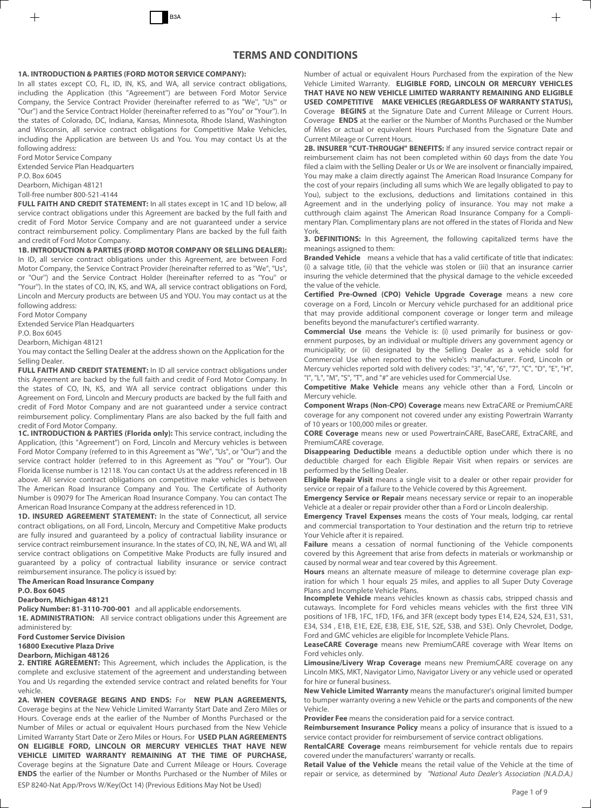### **1A. INTRODUCTION & PARTIES (FORD MOTOR SERVICE COMPANY):**

In all states except CO, FL, ID, IN, KS, and WA, all service contract obligations, including the Application (this "Agreement'') are between Ford Motor Service Company, the Service Contract Provider (hereinafter referred to as "We'', "Us"' or "Our'') and the Service Contract Holder (hereinafter referred to as "You" or "Your''). In the states of Colorado, DC, Indiana, Kansas, Minnesota, Rhode Island, Washington and Wisconsin, all service contract obligations for Competitive Make Vehicles, including the Application are between Us and You. You may contact Us at the following address:

Ford Motor Service Company Extended Service Plan Headquarters

P.O. Box 6045

Dearborn, Michigan 48121

Toll-free number 800-521-4144

FULL FAITH AND CREDIT STATEMENT: In all states except in 1C and 1D below, all service contract obligations under this Agreement are backed by the full faith and credit of Ford Motor Service Company and are not guaranteed under a service contract reimbursement policy. Complimentary Plans are backed by the full faith and credit of Ford Motor Company.

**1B. INTRODUCTION & PARTIES (FORD MOTOR COMPANY OR SELLING DEALER):** In ID, all service contract obligations under this Agreement, are between Ford Motor Company, the Service Contract Provider (hereinafter referred to as "We", "Us", or "Our'') and the Service Contract Holder (hereinafter referred to as "You'' or "Your''). In the states of CO, IN, KS, and WA, all service contract obligations on Ford, Lincoln and Mercury products are between US and YOU. You may contact us at the following address:

Ford Motor Company

Extended Service Plan Headquarters

P.O. Box 6045

Dearborn, Michigan 48121

You may contact the Selling Dealer at the address shown on the Application for the Selling Dealer.

**FULL FAITH AND CREDIT STATEMENT:** In ID all service contract obligations under this Agreement are backed by the full faith and credit of Ford Motor Company. In the states of CO, IN, KS, and WA all service contract obligations under this Agreement on Ford, Lincoln and Mercury products are backed by the full faith and credit of Ford Motor Company and are not guaranteed under a service contract reimbursement policy. Complimentary Plans are also backed by the full faith and credit of Ford Motor Company.

**1C. INTRODUCTION & PARTIES (Florida only):** This service contract, including the Application, (this "Agreement") on Ford, Lincoln and Mercury vehicles is between Ford Motor Company (referred to in this Agreement as "We", "Us", or "Our") and the service contract holder (referred to in this Agreement as "You" or "Your"). Our Florida license number is 12118. You can contact Us at the address referenced in 1B above. All service contract obligations on competitive make vehicles is between The American Road Insurance Company and You. The Certificate of Authority Number is 09079 for The American Road Insurance Company. You can contact The American Road Insurance Company at the address referenced in 1D.

**1D. INSURED AGREEMENT STATEMENT:** In the state of Connecticut, all service contract obligations, on all Ford, Lincoln, Mercury and Competitive Make products are fully insured and guaranteed by a policy of contractual liability insurance or service contract reimbursement insurance. In the states of CO, IN, NE, WA and WI, all service contract obligations on Competitive Make Products are fully insured and guaranteed by a policy of contractual liability insurance or service contract reimbursement insurance. The policy is issued by:

#### **The American Road Insurance Company**

**P.O. Box 6045** 

#### **Dearborn, Michigan 48121**

**Policy Number: 81-3110-700-001** and all applicable endorsements.

**1E. ADMINISTRATION:** All service contract obligations under this Agreement are administered by:

**Ford Customer Service Division** 

#### **16800 Executive Plaza Drive**

#### **Dearborn, Michigan 48126**

**2. ENTIRE AGREEMENT:** This Agreement, which includes the Application, is the complete and exclusive statement of the agreement and understanding between You and Us regarding the extended service contract and related benefits for Your vehicle.

ESP 8240-Nat App/Provs W/Key(Oct 14) (Previous Editions May Not be Used)<br>Page 1 of 9 **2A. WHEN COVERAGE BEGINS AND ENDS:** For **NEW PLAN AGREEMENTS,** Coverage begins at the New Vehicle Limited Warranty Start Date and Zero Miles or Hours. Coverage ends at the earlier of the Number of Months Purchased or the Number of Miles or actual or equivalent Hours purchased from the New Vehicle Limited Warranty Start Date or Zero Miles or Hours. For **USED PLAN AGREEMENTS ON ELIGIBLE FORD, LINCOLN OR MERCURY VEHICLES THAT HAVE NEW VEHICLE LIMITED WARRANTY REMAINING AT THE TIME OF PURCHASE,** Coverage begins at the Signature Date and Current Mileage or Hours. Coverage **ENDS** the earlier of the Number or Months Purchased or the Number of Miles or

Number of actual or equivalent Hours Purchased from the expiration of the New Vehicle Limited Warranty. **ELIGIBLE FORD, LINCOLN OR MERCURY VEHICLES THAT HAVE NO NEW VEHICLE LIMITED WARRANTY REMAINING AND ELIGIBLE USED COMPETITIVE MAKE VEHICLES (REGARDLESS OF WARRANTY STATUS),** Coverage **BEGINS** at the Signature Date and Current Mileage or Current Hours. Coverage **ENDS** at the earlier or the Number of Months Purchased or the Number of Miles or actual or equivalent Hours Purchased from the Signature Date and Current Mileage or Current Hours.

**2B. INSURER "CUT-THROUGH" BENEFITS:** If any insured service contract repair or reimbursement claim has not been completed within 60 days from the date You filed a claim with the Selling Dealer or Us or We are insolvent or financially impaired, You may make a claim directly against The American Road Insurance Company for the cost of your repairs (including all sums which We are legally obligated to pay to You), subject to the exclusions, deductions and limitations contained in this Agreement and in the underlying policy of insurance. You may not make a cutthrough claim against The American Road Insurance Company for a Complimentary Plan. Complimentary plans are not offered in the states of Florida and New York.

**3. DEFINITIONS:** In this Agreement, the following capitalized terms have the meanings assigned to them:

**Branded Vehicle** means a vehicle that has a valid certificate of title that indicates: (i) a salvage title, (ii) that the vehicle was stolen or (iii) that an insurance carrier insuring the vehicle determined that the physical damage to the vehicle exceeded the value of the vehicle.

**Certified Pre-Owned (CPO) Vehicle Upgrade Coverage** means a new core coverage on a Ford, Lincoln or Mercury vehicle purchased for an additional price that may provide additional component coverage or longer term and mileage benefits beyond the manufacturer's certified warranty.

**Commercial Use** means the Vehicle is: (i) used primarily for business or government purposes, by an individual or multiple drivers any government agency or municipality; or (ii) designated by the Selling Dealer as a vehicle sold for Commercial Use when reported to the vehicle's manufacturer. Ford, Lincoln or Mercury vehicles reported sold with delivery codes: "3", "4", "6", "7", "C", "D", "E", "H", "I", "L", "M", "S", "T", and "#" are vehicles used for Commercial Use.

**Competitive Make Vehicle** means any vehicle other than a Ford, Lincoln or Mercury vehicle.

**Component Wraps (Non-CPO) Coverage** means new ExtraCARE or PremiumCARE coverage for any component not covered under any existing Powertrain Warranty of 10 years or 100,000 miles or greater.

**CORE Coverage** means new or used PowertrainCARE, BaseCARE, ExtraCARE, and PremiumCARE coverage.

**Disappearing Deductible** means a deductible option under which there is no deductible charged for each Eligible Repair Visit when repairs or services are performed by the Selling Dealer.

**Eligible Repair Visit** means a single visit to a dealer or other repair provider for service or repair of a failure to the Vehicle covered by this Agreement.

**Emergency Service or Repair** means necessary service or repair to an inoperable Vehicle at a dealer or repair provider other than a Ford or Lincoln dealership.

**Emergency Travel Expenses** means the costs of Your meals, lodging, car rental and commercial transportation to Your destination and the return trip to retrieve Your Vehicle after it is repaired.

**Failure** means a cessation of normal functioning of the Vehicle components covered by this Agreement that arise from defects in materials or workmanship or caused by normal wear and tear covered by this Agreement.

**Hours** means an alternate measure of mileage to determine coverage plan expiration for which 1 hour equals 25 miles, and applies to all Super Duty Coverage Plans and Incomplete Vehicle Plans.

**Incomplete Vehicle** means vehicles known as chassis cabs, stripped chassis and cutaways. Incomplete for Ford vehicles means vehicles with the first three VIN positions of 1FB, 1FC, 1FD, 1F6, and 3FR (except body types E14, E24, S24, E31, S31, E34, S34 , E1B, E1E, E2E, E3B, E3E, S1E, S2E, S3B, and S3E). Only Chevrolet, Dodge, Ford and GMC vehicles are eligible for Incomplete Vehicle Plans.

**LeaseCARE Coverage** means new PremiumCARE coverage with Wear Items on Ford vehicles only.

**Limousine/Livery Wrap Coverage** means new PremiumCARE coverage on any Lincoln MKS, MKT, Navigator Limo, Navigator Livery or any vehicle used or operated for hire or funeral business.

**New Vehicle Limited Warranty** means the manufacturer's original limited bumper to bumper warranty overing a new Vehicle or the parts and components of the new Vehicle.

**Provider Fee** means the consideration paid for a service contract.

**Reimbursement Insurance Policy** means a policy of insurance that is issued to a service contact provider for reimbursement of service contract obligations.

**RentalCARE Coverage** means reimbursement for vehicle rentals due to repairs covered under the manufacturers' warranty or recalls.

**Retail Value of the Vehicle** means the retail value of the Vehicle at the time of repair or service, as determined by "National Auto Dealer's Association (N.A.D.A.)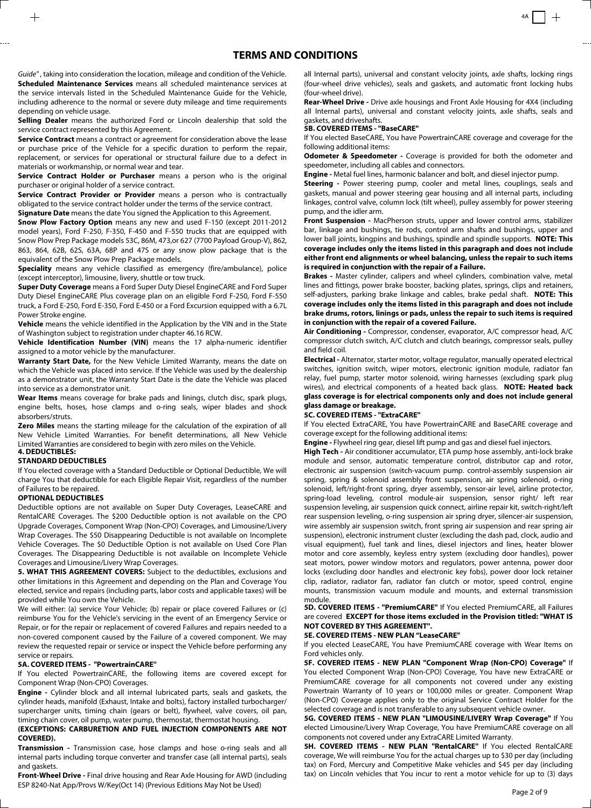Guide", taking into consideration the location, mileage and condition of the Vehicle. **Scheduled Maintenance Services** means all scheduled maintenance services at the service intervals listed in the Scheduled Maintenance Guide for the Vehicle, including adherence to the normal or severe duty mileage and time requirements depending on vehicle usage.

**Selling Dealer** means the authorized Ford or Lincoln dealership that sold the service contract represented by this Agreement.

**Service Contract** means a contract or agreement for consideration above the lease or purchase price of the Vehicle for a specific duration to perform the repair, replacement, or services for operational or structural failure due to a defect in materials or workmanship, or normal wear and tear.

**Service Contract Holder or Purchaser** means a person who is the original purchaser or original holder of a service contract.

**Service Contract Provider or Provider** means a person who is contractually obligated to the service contract holder under the terms of the service contract. **Signature Date** means the date You signed the Application to this Agreement.

**Snow Plow Factory Option** means any new and used F-150 (except 2011-2012 model years), Ford F-250, F-350, F-450 and F-550 trucks that are equipped with Snow Plow Prep Package models 53C, 86M, 473,or 627 (7700 Payload Group-V), 862, 863, 864, 62B, 62S, 63A, 68P and 47S or any snow plow package that is the equivalent of the Snow Plow Prep Package models.

**Speciality** means any vehicle classified as emergency (fire/ambulance), police (except interceptor), limousine, livery, shuttle or tow truck.

**Super Duty Coverage** means a Ford Super Duty Diesel EngineCARE and Ford Super Duty Diesel EngineCARE Plus coverage plan on an eligible Ford F-250, Ford F-550 truck, a Ford E-250, Ford E-350, Ford E-450 or a Ford Excursion equipped with a 6.7L Power Stroke engine.

**Vehicle** means the vehicle identified in the Application by the VIN and in the State of Washington subject to registration under chapter 46.16 RCW.

**Vehicle Identification Number (VIN)** means the 17 alpha-numeric identifier assigned to a motor vehicle by the manufacturer.

**Warranty Start Date,** for the New Vehicle Limited Warranty, means the date on which the Vehicle was placed into service. If the Vehicle was used by the dealership as a demonstrator unit, the Warranty Start Date is the date the Vehicle was placed into service as a demonstrator unit.

**Wear Items** means coverage for brake pads and linings, clutch disc, spark plugs, engine belts, hoses, hose clamps and o-ring seals, wiper blades and shock absorbers/struts.

**Zero Miles** means the starting mileage for the calculation of the expiration of all New Vehicle Limited Warranties. For benefit determinations, all New Vehicle Limited Warranties are considered to begin with zero miles on the Vehicle.

### **4. DEDUCTIBLES:**

### **STANDARD DEDUCTIBLES**

If You elected coverage with a Standard Deductible or Optional Deductible, We will charge You that deductible for each Eligible Repair Visit, regardless of the number of Failures to be repaired.

#### **OPTIONAL DEDUCTIBLES**

Deductible options are not available on Super Duty Coverages, LeaseCARE and RentalCARE Coverages. The \$200 Deductible option is not available on the CPO Upgrade Coverages, Component Wrap (Non-CPO) Coverages, and Limousine/Livery Wrap Coverages. The \$50 Disappearing Deductible is not available on Incomplete Vehicle Coverages. The \$0 Deductible Option is not available on Used Core Plan Coverages. The Disappearing Deductible is not available on Incomplete Vehicle Coverages and Limousine/Livery Wrap Coverages.

**5. WHAT THIS AGREEMENT COVERS:** Subject to the deductibles, exclusions and other limitations in this Agreement and depending on the Plan and Coverage You elected, service and repairs (including parts, labor costs and applicable taxes) will be provided while You own the Vehicle.

We will either: (a) service Your Vehicle; (b) repair or place covered Failures or (c) reimburse You for the Vehicle's servicing in the event of an Emergency Service or Repair, or for the repair or replacement of covered Failures and repairs needed to a non-covered component caused by the Failure of a covered component. We may review the requested repair or service or inspect the Vehicle before performing any service or repairs.

### **5A. COVERED ITEMS - "PowertrainCARE''**

If You elected PowertrainCARE, the following items are covered except for Component Wrap (Non-CPO) Coverages.

**Engine -** Cylinder block and all internal lubricated parts, seals and gaskets, the cylinder heads, manifold (Exhaust, Intake and bolts), factory installed turbocharger/ supercharger units, timing chain (gears or belt), flywheel, valve covers, oil pan, timing chain cover, oil pump, water pump, thermostat, thermostat housing.

### **(EXCEPTIONS: CARBURETION AND FUEL INJECTION COMPONENTS ARE NOT COVERED).**

**Transmission -** Transmission case, hose clamps and hose o-ring seals and all internal parts including torque converter and transfer case (all internal parts), seals and gaskets.

ESP 8240-Nat App/Provs W/Key(Oct 14) (Previous Editions May Not be Used)<br>Page 2 of 9 **Front-Wheel Drive -** Final drive housing and Rear Axle Housing for AWD (including

all Internal parts), universal and constant velocity joints, axle shafts, locking rings (four-wheel drive vehicles), seals and gaskets, and automatic front locking hubs (four-wheel drive).

**Rear-Wheel Drive -** Drive axle housings and Front Axle Housing for 4X4 (including all Internal parts), universal and constant velocity joints, axle shafts, seals and gaskets, and driveshafts.

### **5B. COVERED ITEMS - "BaseCARE''**

If You elected BaseCARE, You have PowertrainCARE coverage and coverage for the following additional items:

**Odometer & Speedometer -** Coverage is provided for both the odometer and speedometer, including all cables and connectors.

**Engine -** Metal fuel lines, harmonic balancer and bolt, and diesel injector pump.

**Steering -** Power steering pump, cooler and metal lines, couplings, seals and gaskets, manual and power steering gear housing and all internal parts, including linkages, control valve, column lock (tilt wheel), pulley assembly for power steering pump, and the idler arm.

**Front Suspension -** MacPherson struts, upper and lower control arms, stabilizer bar, linkage and bushings, tie rods, control arm shafts and bushings, upper and lower ball joints, kingpins and bushings, spindle and spindle supports. **NOTE: This coverage includes only the items listed in this paragraph and does not include either front end alignments or wheel balancing, unless the repair to such items is required in conjunction with the repair of a Failure.** 

**Brakes -** Master cylinder, calipers and wheel cylinders, combination valve, metal lines and fittings, power brake booster, backing plates, springs, clips and retainers, self-adjusters, parking brake linkage and cables, brake pedal shaft. **NOTE: This coverage includes only the items listed in this paragraph and does not include brake drums, rotors, linings or pads, unless the repair to such items is required in conjunction with the repair of a covered Failure.** 

**Air Conditioning -** Compressor, condenser, evaporator, A/C compressor head, A/C compressor clutch switch, A/C clutch and clutch bearings, compressor seals, pulley and field coil.

**Electrical -** Alternator, starter motor, voltage regulator, manually operated electrical switches, ignition switch, wiper motors, electronic ignition module, radiator fan relay, fuel pump, starter motor solenoid, wiring harnesses (excluding spark plug wires), and electrical components of a heated back glass. **NOTE: Heated back glass coverage is for electrical components only and does not include general glass damage or breakage.** 

#### **5C. COVERED ITEMS - "ExtraCARE''**

If You elected ExtraCARE, You have PowertrainCARE and BaseCARE coverage and coverage except for the following additional items:

**Engine -** Flywheel ring gear, diesel lift pump and gas and diesel fuel injectors.

**High Tech -** Air conditioner accumulator, ETA pump hose assembly, anti-lock brake module and sensor, automatic temperature control, distributor cap and rotor, electronic air suspension (switch-vacuum pump. control-assembly suspension air spring, spring & solenoid assembly front suspension, air spring solenoid, o-ring solenoid, left/right-front spring, dryer assembly, sensor-air level, airline protector, spring-load leveling, control module-air suspension, sensor right/ left rear suspension leveling, air suspension quick connect, airline repair kit, switch-right/left rear suspension leveling, o-ring suspension air spring dryer, silencer-air suspension, wire assembly air suspension switch, front spring air suspension and rear spring air suspension), electronic instrument cluster (excluding the dash pad, clock, audio and visual equipment), fuel tank and lines, diesel injectors and lines, heater blower motor and core assembly, keyless entry system (excluding door handles), power seat motors, power window motors and regulators, power antenna, power door locks (excluding door handles and electronic key fobs), power door lock retainer clip, radiator, radiator fan, radiator fan clutch or motor, speed control, engine mounts, transmission vacuum module and mounts, and external transmission module.

**5D. COVERED ITEMS - "PremiumCARE''** If You elected PremiumCARE, all Failures are covered **EXCEPT for those items excluded in the Provision titled: "WHAT IS NOT COVERED BY THIS AGREEMENT''.** 

### **5E. COVERED ITEMS - NEW PLAN "LeaseCARE"**

If you elected LeaseCARE, You have PremiumCARE coverage with Wear Items on Ford vehicles only.

**5F. COVERED ITEMS - NEW PLAN "Component Wrap (Non-CPO) Coverage"** If You elected Component Wrap (Non-CPO) Coverage, You have new ExtraCARE or PremiumCARE coverage for all components not covered under any existing Powertrain Warranty of 10 years or 100,000 miles or greater. Component Wrap (Non-CPO) Coverage applies only to the original Service Contract Holder for the selected coverage and is not transferable to any subsequent vehicle owner.

**5G. COVERED ITEMS - NEW PLAN "LIMOUSINE/LIVERY Wrap Coverage"** If You elected Limousine/Livery Wrap Coverage, You have PremiumCARE coverage on all components not covered under any ExtraCARE Limited Warranty.

**5H. COVERED ITEMS - NEW PLAN "RentalCARE''** If You elected RentalCARE coverage, We will reimburse You for the actual charges up to \$30 per day (including tax) on Ford, Mercury and Competitive Make vehicles and \$45 per day (including tax) on Lincoln vehicles that You incur to rent a motor vehicle for up to (3) days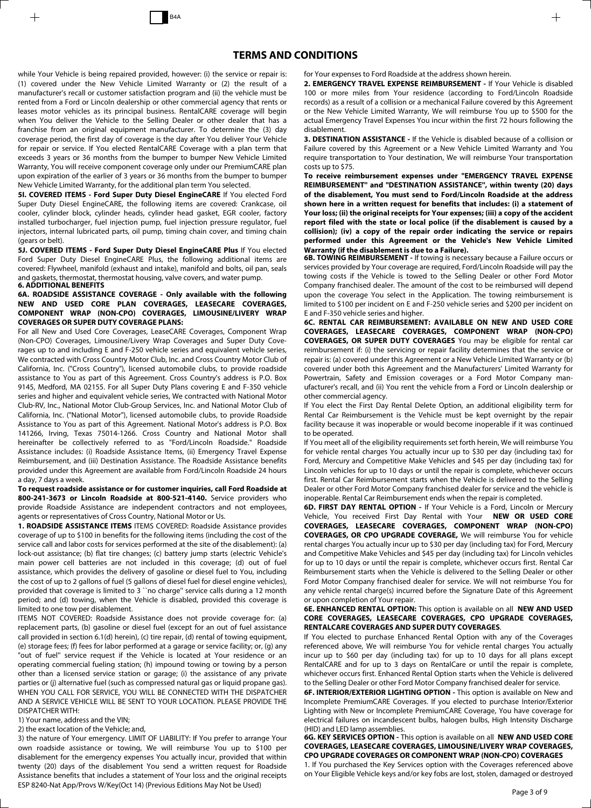while Your Vehicle is being repaired provided, however: (i) the service or repair is: (1) covered under the New Vehicle Limited Warranty or (2) the result of a manufacturer's recall or customer satisfaction program and (ii) the vehicle must be rented from a Ford or Lincoln dealership or other commercial agency that rents or leases motor vehicles as its principal business. RentalCARE coverage will begin when You deliver the Vehicle to the Selling Dealer or other dealer that has a franchise from an original equipment manufacturer. To determine the (3) day coverage period, the first day of coverage is the day after You deliver Your Vehicle for repair or service. If You elected RentalCARE Coverage with a plan term that exceeds 3 years or 36 months from the bumper to bumper New Vehicle Limited Warranty, You will receive component coverage only under our PremiumCARE plan upon expiration of the earlier of 3 years or 36 months from the bumper to bumper New Vehicle Limited Warranty, for the additional plan term You selected.

**5I. COVERED ITEMS - Ford Super Duty Diesel EngineCARE** If You elected Ford Super Duty Diesel EngineCARE, the following items are covered: Crankcase, oil cooler, cylinder block, cylinder heads, cylinder head gasket, EGR cooler, factory installed turbocharger, fuel injection pump, fuel injection pressure regulator, fuel injectors, internal lubricated parts, oil pump, timing chain cover, and timing chain (gears or belt).

**5J. COVERED ITEMS - Ford Super Duty Diesel EngineCARE Plus** If You elected Ford Super Duty Diesel EngineCARE Plus, the following additional items are covered: Flywheel, manifold (exhaust and intake), manifold and bolts, oil pan, seals and gaskets, thermostat, thermostat housing, valve covers, and water pump.

### **6. ADDITIONAL BENEFITS**

**6A. ROADSIDE ASSISTANCE COVERAGE - Only available with the following NEW AND USED CORE PLAN COVERAGES, LEASECARE COVERAGES, COMPONENT WRAP (NON-CPO) COVERAGES, LIMOUSINE/LIVERY WRAP COVERAGES OR SUPER DUTY COVERAGE PLANS:** 

For all New and Used Core Coverages, LeaseCARE Coverages, Component Wrap (Non-CPO) Coverages, Limousine/Livery Wrap Coverages and Super Duty Coverages up to and including E and F-250 vehicle series and equivalent vehicle series, We contracted with Cross Country Motor Club, Inc. and Cross Country Motor Club of California, Inc. ("Cross Country"), licensed automobile clubs, to provide roadside assistance to You as part of this Agreement. Cross Country's address is P.O. Box 9145, Medford, MA 02155. For all Super Duty Plans covering E and F-350 vehicle series and higher and equivalent vehicle series, We contracted with National Motor Club-RV, Inc., National Motor Club-Group Services, Inc. and National Motor Club of California, Inc. ("National Motor"), licensed automobile clubs, to provide Roadside Assistance to You as part of this Agreement. National Motor's address is P.O. Box 141266, Irving, Texas 75014-1266. Cross Country and National Motor shall hereinafter be collectively referred to as "Ford/Lincoln Roadside." Roadside Assistance includes: (i) Roadside Assistance Items, (ii) Emergency Travel Expense Reimbursement, and (iii) Destination Assistance. The Roadside Assistance benefits provided under this Agreement are available from Ford/Lincoln Roadside 24 hours a day, 7 days a week.

**To request roadside assistance or for customer inquiries, call Ford Roadside at 800-241-3673 or Lincoln Roadside at 800-521-4140.** Service providers who provide Roadside Assistance are independent contractors and not employees, agents or representatives of Cross Country, National Motor or Us.

**1. ROADSIDE ASSISTANCE ITEMS** ITEMS COVERED: Roadside Assistance provides coverage of up to \$100 in benefits for the following items (including the cost of the service call and labor costs for services performed at the site of the disablement): (a) lock-out assistance; (b) flat tire changes; (c) battery jump starts (electric Vehicle's main power cell batteries are not included in this coverage; (d) out of fuel assistance, which provides the delivery of gasoline or diesel fuel to You, including the cost of up to 2 gallons of fuel (5 gallons of diesel fuel for diesel engine vehicles), provided that coverage is limited to 3 ``no charge'' service calls during a 12 month period; and (d) towing, when the Vehicle is disabled, provided this coverage is limited to one tow per disablement.

ITEMS NOT COVERED: Roadside Assistance does not provide coverage for: (a) replacement parts, (b) gasoline or diesel fuel (except for an out of fuel assistance call provided in section 6.1(d) herein), (c) tire repair, (d) rental of towing equipment, (e) storage fees; (f) fees for labor performed at a garage or service facility; or, (g) any "out of fuel'' service request if the Vehicle is located at Your residence or an operating commercial fueling station; (h) impound towing or towing by a person other than a licensed service station or garage; (i) the assistance of any private parties or (j) alternative fuel (such as compressed natural gas or liquid propane gas). WHEN YOU CALL FOR SERVICE, YOU WILL BE CONNECTED WITH THE DISPATCHER AND A SERVICE VEHICLE WILL BE SENT TO YOUR LOCATION. PLEASE PROVIDE THE DISPATCHER WITH:

1) Your name, address and the VIN;

2) the exact location of the Vehicle; and,

ESP 8240-Nat App/Provs W/Key(Oct 14) (Previous Editions May Not be Used)<br>Page 3 of 9 3) the nature of Your emergency. LIMIT OF LIABILITY: If You prefer to arrange Your own roadside assistance or towing, We will reimburse You up to \$100 per disablement for the emergency expenses You actually incur, provided that within twenty (20) days of the disablement You send a written request for Roadside Assistance benefits that includes a statement of Your loss and the original receipts

for Your expenses to Ford Roadside at the address shown herein.

**2. EMERGENCY TRAVEL EXPENSE REIMBURSEMENT -** If Your Vehicle is disabled 100 or more miles from Your residence (according to Ford/Lincoln Roadside records) as a result of a collision or a mechanical Failure covered by this Agreement or the New Vehicle Limited Warranty, We will reimburse You up to \$500 for the actual Emergency Travel Expenses You incur within the first 72 hours following the disablement.

**3. DESTINATION ASSISTANCE -** If the Vehicle is disabled because of a collision or Failure covered by this Agreement or a New Vehicle Limited Warranty and You require transportation to Your destination, We will reimburse Your transportation costs up to \$75.

**To receive reimbursement expenses under "EMERGENCY TRAVEL EXPENSE REIMBURSEMENT'' and "DESTINATION ASSISTANCE'', within twenty (20) days of the disablement, You must send to Ford/Lincoln Roadside at the address shown here in a written request for benefits that includes: (i) a statement of Your loss; (ii) the original receipts for Your expenses; (iii) a copy of the accident report filed with the state or local police (if the disablement is caused by a collision); (iv) a copy of the repair order indicating the service or repairs performed under this Agreement or the Vehicle's New Vehicle Limited Warranty (if the disablement is due to a Failure).**

**6B. TOWING REIMBURSEMENT -** If towing is necessary because a Failure occurs or services provided by Your coverage are required, Ford/Lincoln Roadside will pay the towing costs if the Vehicle is towed to the Selling Dealer or other Ford Motor Company franchised dealer. The amount of the cost to be reimbursed will depend upon the coverage You select in the Application. The towing reimbursement is limited to \$100 per incident on E and F-250 vehicle series and \$200 per incident on E and F-350 vehicle series and higher.

**6C. RENTAL CAR REIMBURSEMENT: AVAILABLE ON NEW AND USED CORE COVERAGES, LEASECARE COVERAGES, COMPONENT WRAP (NON-CPO) COVERAGES, OR SUPER DUTY COVERAGES** You may be eligible for rental car reimbursement if: (i) the servicing or repair facility determines that the service or repair is: (a) covered under this Agreement or a New Vehicle Limited Warranty or (b) covered under both this Agreement and the Manufacturers' Limited Warranty for Powertrain, Safety and Emission coverages or a Ford Motor Company manufacturer's recall, and (ii) You rent the vehicle from a Ford or Lincoln dealership or other commercial agency.

If You elect the First Day Rental Delete Option, an additional eligibility term for Rental Car Reimbursement is the Vehicle must be kept overnight by the repair facility because it was inoperable or would become inoperable if it was continued to be operated.

If You meet all of the eligibility requirements set forth herein, We will reimburse You for vehicle rental charges You actually incur up to \$30 per day (including tax) for Ford, Mercury and Competitive Make Vehicles and \$45 per day (including tax) for Lincoln vehicles for up to 10 days or until the repair is complete, whichever occurs first. Rental Car Reimbursement starts when the Vehicle is delivered to the Selling Dealer or other Ford Motor Company franchised dealer for service and the vehicle is inoperable. Rental Car Reimbursement ends when the repair is completed.

**6D. FIRST DAY RENTAL OPTION -** If Your Vehicle is a Ford, Lincoln or Mercury Vehicle, You received First Day Rental with Your **NEW OR USED CORE COVERAGES, LEASECARE COVERAGES, COMPONENT WRAP (NON-CPO) COVERAGES, OR CPO UPGRADE COVERAGE,** We will reimburse You for vehicle rental charges You actually incur up to \$30 per day (including tax) for Ford, Mercury and Competitive Make Vehicles and \$45 per day (including tax) for Lincoln vehicles for up to 10 days or until the repair is complete, whichever occurs first. Rental Car Reimbursement starts when the Vehicle is delivered to the Selling Dealer or other Ford Motor Company franchised dealer for service. We will not reimburse You for any vehicle rental charge(s) incurred before the Signature Date of this Agreement or upon completion of Your repair.

### **6E. ENHANCED RENTAL OPTION:** This option is available on all **NEW AND USED CORE COVERAGES, LEASECARE COVERAGES, CPO UPGRADE COVERAGES, RENTALCARE COVERAGES AND SUPER DUTY COVERAGES**.

If You elected to purchase Enhanced Rental Option with any of the Coverages referenced above, We will reimburse You for vehicle rental charges You actually incur up to \$60 per day (including tax) for up to 10 days for all plans except RentalCARE and for up to 3 days on RentalCare or until the repair is complete, whichever occurs first. Enhanced Rental Option starts when the Vehicle is delivered to the Selling Dealer or other Ford Motor Company franchised dealer for service.

**6F. INTERIOR/EXTERIOR LIGHTING OPTION -** This option is available on New and Incomplete PremiumCARE Coverages. If you elected to purchase Interior/Exterior Lighting with New or Incomplete PremiumCARE Coverage, You have coverage for electrical failures on incandescent bulbs, halogen bulbs, High Intensity Discharge (HID) and LED lamp assemblies.

**6G. KEY SERVICES OPTION -** This option is available on all **NEW AND USED CORE COVERAGES, LEASECARE COVERAGES, LIMOUSINE/LIVERY WRAP COVERAGES, CPO UPGRADE COVERAGES OR COMPONENT WRAP (NON-CPO) COVERAGES**

1. If You purchased the Key Services option with the Coverages referenced above on Your Eligible Vehicle keys and/or key fobs are lost, stolen, damaged or destroyed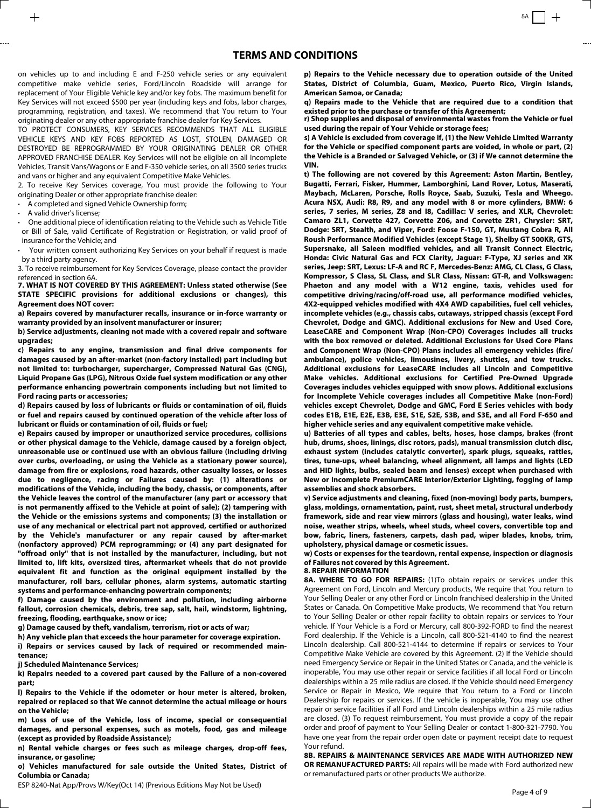on vehicles up to and including E and F-250 vehicle series or any equivalent competitive make vehicle series, Ford/Lincoln Roadside will arrange for replacement of Your Eligible Vehicle key and/or key fobs. The maximum benefit for Key Services will not exceed \$500 per year (including keys and fobs, labor charges, programming, registration, and taxes). We recommend that You return to Your originating dealer or any other appropriate franchise dealer for Key Services.

TO PROTECT CONSUMERS, KEY SERVICES RECOMMENDS THAT ALL ELIGIBLE VEHICLE KEYS AND KEY FOBS REPORTED AS LOST, STOLEN, DAMAGED OR DESTROYED BE REPROGRAMMED BY YOUR ORIGINATING DEALER OR OTHER APPROVED FRANCHISE DEALER. Key Services will not be eligible on all Incomplete Vehicles, Transit Vans/Wagons or E and F-350 vehicle series, on all 3500 series trucks and vans or higher and any equivalent Competitive Make Vehicles.

2. To receive Key Services coverage, You must provide the following to Your originating Dealer or other appropriate franchise dealer:

**·** A completed and signed Vehicle Ownership form;

**·** A valid driver's license;

**·** One additional piece of identification relating to the Vehicle such as Vehicle Title or Bill of Sale, valid Certificate of Registration or Registration, or valid proof of insurance for the Vehicle; and

**·** Your written consent authorizing Key Services on your behalf if request is made by a third party agency.

3. To receive reimbursement for Key Services Coverage, please contact the provider referenced in section 6A.

**7. WHAT IS NOT COVERED BY THIS AGREEMENT: Unless stated otherwise (See STATE SPECIFIC provisions for additional exclusions or changes), this Agreement does NOT cover:** 

**a) Repairs covered by manufacturer recalls, insurance or in-force warranty or warranty provided by an insolvent manufacturer or insurer;** 

**b) Service adjustments, cleaning not made with a covered repair and software upgrades;**

**c) Repairs to any engine, transmission and final drive components for damages caused by an after-market (non-factory installed) part including but not limited to: turbocharger, supercharger, Compressed Natural Gas (CNG), Liquid Propane Gas (LPG), Nitrous Oxide fuel system modification or any other performance enhancing powertrain components including but not limited to Ford racing parts or accessories;** 

**d) Repairs caused by loss of lubricants or fluids or contamination of oil, fluids or fuel and repairs caused by continued operation of the vehicle after loss of lubricant or fluids or contamination of oil, fluids or fuel;** 

**e) Repairs caused by improper or unauthorized service procedures, collisions or other physical damage to the Vehicle, damage caused by a foreign object, unreasonable use or continued use with an obvious failure (including driving over curbs, overloading, or using the Vehicle as a stationary power source), damage from fire or explosions, road hazards, other casualty losses, or losses due to negligence, racing or Failures caused by: (1) alterations or modifications of the Vehicle, including the body, chassis, or components, after the Vehicle leaves the control of the manufacturer (any part or accessory that is not permanently affixed to the Vehicle at point of sale); (2) tampering with the Vehicle or the emissions systems and components; (3) the installation or use of any mechanical or electrical part not approved, certified or authorized by the Vehicle's manufacturer or any repair caused by after-market (nonfactory approved) PCM reprogramming; or (4) any part designated for "offroad only'' that is not installed by the manufacturer, including, but not limited to, lift kits, oversized tires, aftermarket wheels that do not provide equivalent fit and function as the original equipment installed by the manufacturer, roll bars, cellular phones, alarm systems, automatic starting systems and performance-enhancing powertrain components;** 

**f) Damage caused by the environment and pollution, including airborne fallout, corrosion chemicals, debris, tree sap, salt, hail, windstorm, lightning, freezing, flooding, earthquake, snow or ice;** 

**g) Damage caused by theft, vandalism, terrorism, riot or acts of war;**

**h) Any vehicle plan that exceeds the hour parameter for coverage expiration.** 

**i) Repairs or services caused by lack of required or recommended maintenance;**

**j) Scheduled Maintenance Services;** 

**k) Repairs needed to a covered part caused by the Failure of a non-covered part;**

**l) Repairs to the Vehicle if the odometer or hour meter is altered, broken, repaired or replaced so that We cannot determine the actual mileage or hours on the Vehicle;** 

**m) Loss of use of the Vehicle, loss of income, special or consequential damages, and personal expenses, such as motels, food, gas and mileage (except as provided by Roadside Assistance);** 

**n) Rental vehicle charges or fees such as mileage charges, drop-off fees, insurance, or gasoline;** 

**o) Vehicles manufactured for sale outside the United States, District of Columbia or Canada;** 

ESP 8240-Nat App/Provs W/Key(Oct 14) (Previous Editions May Not be Used)<br>Page 4 of 9

**p) Repairs to the Vehicle necessary due to operation outside of the United States, District of Columbia, Guam, Mexico, Puerto Rico, Virgin Islands, American Samoa, or Canada;** 

**q) Repairs made to the Vehicle that are required due to a condition that existed prior to the purchase or transfer of this Agreement;**

**r) Shop supplies and disposal of environmental wastes from the Vehicle or fuel used during the repair of Your Vehicle or storage fees;**

**s) A Vehicle is excluded from coverage if, (1) the New Vehicle Limited Warranty for the Vehicle or specified component parts are voided, in whole or part, (2) the Vehicle is a Branded or Salvaged Vehicle, or (3) if We cannot determine the VIN.**

**t) The following are not covered by this Agreement: Aston Martin, Bentley, Bugatti, Ferrari, Fisker, Hummer, Lamborghini, Land Rover, Lotus, Maserati, Maybach, McLaren, Porsche, Rolls Royce, Saab, Suzuki, Tesla and Wheego. Acura NSX, Audi: R8, R9, and any model with 8 or more cylinders, BMW: 6 series, 7 series, M series, Z8 and I8, Cadillac: V series, and XLR, Chevrolet: Camaro ZL1, Corvette 427, Corvette Z06, and Corvette ZR1, Chrysler: SRT, Dodge: SRT, Stealth, and Viper, Ford: Foose F-150, GT, Mustang Cobra R, All Roush Performance Modified Vehicles (except Stage 1), Shelby GT 500KR, GTS, Supersnake, all Saleen modified vehicles, and all Transit Connect Electric, Honda: Civic Natural Gas and FCX Clarity, Jaguar: F-Type, XJ series and XK series, Jeep: SRT, Lexus: LF-A and RC F, Mercedes-Benz: AMG, CL Class, G Class, Kompressor, S Class, SL Class, and SLR Class, Nissan: GT-R, and Volkswagen: Phaeton and any model with a W12 engine, taxis, vehicles used for competitive driving/racing/off-road use, all performance modified vehicles, 4X2-equipped vehicles modified with 4X4 AWD capabilities, fuel cell vehicles, incomplete vehicles (e.g., chassis cabs, cutaways, stripped chassis (except Ford Chevrolet, Dodge and GMC). Additional exclusions for New and Used Core, LeaseCARE and Component Wrap (Non-CPO) Coverages includes all trucks with the box removed or deleted. Additional Exclusions for Used Core Plans and Component Wrap (Non-CPO) Plans includes all emergency vehicles (fire/ ambulance), police vehicles, limousines, livery, shuttles, and tow trucks. Additional exclusions for LeaseCARE includes all Lincoln and Competitive Make vehicles. Additional exclusions for Certified Pre-Owned Upgrade Coverages includes vehicles equipped with snow plows. Additional exclusions for Incomplete Vehicle coverages includes all Competitive Make (non-Ford) vehicles except Chevrolet, Dodge and GMC, Ford E Series vehicles with body codes E1B, E1E, E2E, E3B, E3E, S1E, S2E, S3B, and S3E, and all Ford F-650 and higher vehicle series and any equivalent competitive make vehicle.** 

**u) Batteries of all types and cables, belts, hoses, hose clamps, brakes (front hub, drums, shoes, linings, disc rotors, pads), manual transmission clutch disc, exhaust system (includes catalytic converter), spark plugs, squeaks, rattles, tires, tune-ups, wheel balancing, wheel alignment, all lamps and lights (LED and HID lights, bulbs, sealed beam and lenses) except when purchased with New or Incomplete PremiumCARE Interior/Exterior Lighting, fogging of lamp assemblies and shock absorbers.**

**v) Service adjustments and cleaning, fixed (non-moving) body parts, bumpers, glass, moldings, ornamentation, paint, rust, sheet metal, structural underbody framework, side and rear view mirrors (glass and housing), water leaks, wind noise, weather strips, wheels, wheel studs, wheel covers, convertible top and bow, fabric, liners, fasteners, carpets, dash pad, wiper blades, knobs, trim, upholstery, physical damage or cosmetic issues.**

**w) Costs or expenses for the teardown, rental expense, inspection or diagnosis of Failures not covered by this Agreement.**

#### **8. REPAIR INFORMATION**

8A. WHERE TO GO FOR REPAIRS: (1)To obtain repairs or services under this Agreement on Ford, Lincoln and Mercury products, We require that You return to Your Selling Dealer or any other Ford or Lincoln franchised dealership in the United States or Canada. On Competitive Make products, We recommend that You return to Your Selling Dealer or other repair facility to obtain repairs or services to Your vehicle. If Your Vehicle is a Ford or Mercury, call 800-392-FORD to find the nearest Ford dealership. If the Vehicle is a Lincoln, call 800-521-4140 to find the nearest Lincoln dealership. Call 800-521-4144 to determine if repairs or services to Your Competitive Make Vehicle are covered by this Agreement. (2) If the Vehicle should need Emergency Service or Repair in the United States or Canada, and the vehicle is inoperable, You may use other repair or service facilities if all local Ford or Lincoln dealerships within a 25 mile radius are closed. If the Vehicle should need Emergency Service or Repair in Mexico, We require that You return to a Ford or Lincoln Dealership for repairs or services. If the vehicle is inoperable, You may use other repair or service facilities if all Ford and Lincoln dealerships within a 25 mile radius are closed. (3) To request reimbursement, You must provide a copy of the repair order and proof of payment to Your Selling Dealer or contact 1-800-321-7790. You have one year from the repair order open date or payment receipt date to request Your refund.

**8B. REPAIRS & MAINTENANCE SERVICES ARE MADE WITH AUTHORIZED NEW OR REMANUFACTURED PARTS:** All repairs will be made with Ford authorized new or remanufactured parts or other products We authorize.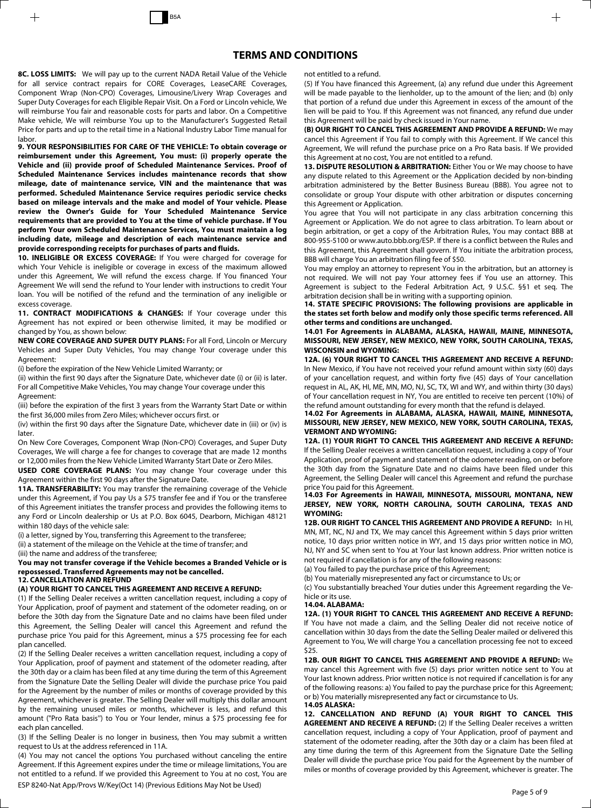**8C. LOSS LIMITS:** We will pay up to the current NADA Retail Value of the Vehicle for all service contract repairs for CORE Coverages, LeaseCARE Coverages, Component Wrap (Non-CPO) Coverages, Limousine/Livery Wrap Coverages and Super Duty Coverages for each Eligible Repair Visit. On a Ford or Lincoln vehicle, We will reimburse You fair and reasonable costs for parts and labor. On a Competitive Make vehicle, We will reimburse You up to the Manufacturer's Suggested Retail Price for parts and up to the retail time in a National Industry Labor Time manual for labor.

**9. YOUR RESPONSIBILITIES FOR CARE OF THE VEHICLE: To obtain coverage or reimbursement under this Agreement, You must: (i) properly operate the Vehicle and (ii) provide proof of Scheduled Maintenance Services. Proof of Scheduled Maintenance Services includes maintenance records that show mileage, date of maintenance service, VIN and the maintenance that was performed. Scheduled Maintenance Service requires periodic service checks based on mileage intervals and the make and model of Your vehicle. Please review the Owner's Guide for Your Scheduled Maintenance Service requirements that are provided to You at the time of vehicle purchase. If You perform Your own Scheduled Maintenance Services, You must maintain a log including date, mileage and description of each maintenance service and provide corresponding receipts for purchases of parts and fluids.**

**10. INELIGIBLE OR EXCESS COVERAGE:** If You were charged for coverage for which Your Vehicle is ineligible or coverage in excess of the maximum allowed under this Agreement, We will refund the excess charge. If You financed Your Agreement We will send the refund to Your lender with instructions to credit Your loan. You will be notified of the refund and the termination of any ineligible or excess coverage.

11. CONTRACT MODIFICATIONS & CHANGES: If Your coverage under this Agreement has not expired or been otherwise limited, it may be modified or changed by You, as shown below:

**NEW CORE COVERAGE AND SUPER DUTY PLANS:** For all Ford, Lincoln or Mercury Vehicles and Super Duty Vehicles, You may change Your coverage under this Agreement:

(i) before the expiration of the New Vehicle Limited Warranty; or

(ii) within the first 90 days after the Signature Date, whichever date (i) or (ii) is later. For all Competitive Make Vehicles, You may change Your coverage under this Agreement:

(iii) before the expiration of the first 3 years from the Warranty Start Date or within the first 36,000 miles from Zero Miles; whichever occurs first. or

(iv) within the first 90 days after the Signature Date, whichever date in (iii) or (iv) is later.

On New Core Coverages, Component Wrap (Non-CPO) Coverages, and Super Duty Coverages, We will charge a fee for changes to coverage that are made 12 months or 12,000 miles from the New Vehicle Limited Warranty Start Date or Zero Miles.

**USED CORE COVERAGE PLANS:** You may change Your coverage under this Agreement within the first 90 days after the Signature Date.

**11A. TRANSFERABILITY:** You may transfer the remaining coverage of the Vehicle under this Agreement, if You pay Us a \$75 transfer fee and if You or the transferee of this Agreement initiates the transfer process and provides the following items to any Ford or Lincoln dealership or Us at P.O. Box 6045, Dearborn, Michigan 48121 within 180 days of the vehicle sale:

(i) a letter, signed by You, transferring this Agreement to the transferee;

(ii) a statement of the mileage on the Vehicle at the time of transfer; and

(iii) the name and address of the transferee;

#### **You may not transfer coverage if the Vehicle becomes a Branded Vehicle or is repossessed. Transferred Agreements may not be cancelled. 12. CANCELLATION AND REFUND**

#### **(A) YOUR RIGHT TO CANCEL THIS AGREEMENT AND RECEIVE A REFUND:**

(1) If the Selling Dealer receives a written cancellation request, including a copy of Your Application, proof of payment and statement of the odometer reading, on or before the 30th day from the Signature Date and no claims have been filed under this Agreement, the Selling Dealer will cancel this Agreement and refund the purchase price You paid for this Agreement, minus a \$75 processing fee for each plan cancelled.

(2) If the Selling Dealer receives a written cancellation request, including a copy of Your Application, proof of payment and statement of the odometer reading, after the 30th day or a claim has been filed at any time during the term of this Agreement from the Signature Date the Selling Dealer will divide the purchase price You paid for the Agreement by the number of miles or months of coverage provided by this Agreement, whichever is greater. The Selling Dealer will multiply this dollar amount by the remaining unused miles or months, whichever is less, and refund this amount ("Pro Rata basis'') to You or Your lender, minus a \$75 processing fee for each plan cancelled.

(3) If the Selling Dealer is no longer in business, then You may submit a written request to Us at the address referenced in 11A.

ESP 8240-Nat App/Provs W/Key(Oct 14) (Previous Editions May Not be Used)<br>Page 5 of 9 (4) You may not cancel the options You purchased without canceling the entire Agreement. If this Agreement expires under the time or mileage limitations, You are not entitled to a refund. If we provided this Agreement to You at no cost, You are

not entitled to a refund.

(5) If You have financed this Agreement, (a) any refund due under this Agreement will be made payable to the lienholder, up to the amount of the lien; and (b) only that portion of a refund due under this Agreement in excess of the amount of the lien will be paid to You. If this Agreement was not financed, any refund due under this Agreement will be paid by check issued in Your name.

**(B) OUR RIGHT TO CANCEL THIS AGREEMENT AND PROVIDE A REFUND:** We may cancel this Agreement if You fail to comply with this Agreement. If We cancel this Agreement, We will refund the purchase price on a Pro Rata basis. If We provided this Agreement at no cost, You are not entitled to a refund.

**13. DISPUTE RESOLUTION & ARBITRATION:** Either You or We may choose to have any dispute related to this Agreement or the Application decided by non-binding arbitration administered by the Better Business Bureau (BBB). You agree not to consolidate or group Your dispute with other arbitration or disputes concerning this Agreement or Application.

You agree that You will not participate in any class arbitration concerning this Agreement or Application. We do not agree to class arbitration. To learn about or begin arbitration, or get a copy of the Arbitration Rules, You may contact BBB at 800-955-5100 or www.auto.bbb.org/ESP. If there is a conflict between the Rules and this Agreement, this Agreement shall govern. If You initiate the arbitration process, BBB will charge You an arbitration filing fee of \$50.

You may employ an attorney to represent You in the arbitration, but an attorney is not required. We will not pay Your attorney fees if You use an attorney. This Agreement is subject to the Federal Arbitration Act, 9 U.S.C. §§1 et seq. The arbitration decision shall be in writing with a supporting opinion.

**14. STATE SPECIFIC PROVISIONS: The following provisions are applicable in the states set forth below and modify only those specific terms referenced. All other terms and conditions are unchanged.** 

**14.01 For Agreements in ALABAMA, ALASKA, HAWAII, MAINE, MINNESOTA, MISSOURI, NEW JERSEY, NEW MEXICO, NEW YORK, SOUTH CAROLINA, TEXAS, WISCONSIN and WYOMING:** 

### **12A. (6) YOUR RIGHT TO CANCEL THIS AGREEMENT AND RECEIVE A REFUND:** In New Mexico, if You have not received your refund amount within sixty (60) days of your cancellation request, and within forty five (45) days of Your cancellation request in AL, AK, HI, ME, MN, MO, NJ, SC, TX, WI and WY, and within thirty (30 days) of Your cancellation request in NY, You are entitled to receive ten percent (10%) of

#### the refund amount outstanding for every month that the refund is delayed. **14.02 For Agreements in ALABAMA, ALASKA, HAWAII, MAINE, MINNESOTA, MISSOURI, NEW JERSEY, NEW MEXICO, NEW YORK, SOUTH CAROLINA, TEXAS, VERMONT AND WYOMING:**

**12A. (1) YOUR RIGHT TO CANCEL THIS AGREEMENT AND RECEIVE A REFUND:** If the Selling Dealer receives a written cancellation request, including a copy of Your Application, proof of payment and statement of the odometer reading, on or before the 30th day from the Signature Date and no claims have been filed under this Agreement, the Selling Dealer will cancel this Agreement and refund the purchase price You paid for this Agreement.

### **14.03 For Agreements in HAWAII, MINNESOTA, MISSOURI, MONTANA, NEW JERSEY, NEW YORK, NORTH CAROLINA, SOUTH CAROLINA, TEXAS AND WYOMING:**

**12B. OUR RIGHT TO CANCEL THIS AGREEMENT AND PROVIDE A REFUND:** In HI, MN, MT, NC, NJ and TX, We may cancel this Agreement within 5 days prior written notice, 10 days prior written notice in WY, and 15 days prior written notice in MO, NJ, NY and SC when sent to You at Your last known address. Prior written notice is not required if cancellation is for any of the following reasons:

(a) You failed to pay the purchase price of this Agreement;

(b) You materially misrepresented any fact or circumstance to Us; or

(c) You substantially breached Your duties under this Agreement regarding the Vehicle or its use.

### **14.04. ALABAMA:**

**12A. (1) YOUR RIGHT TO CANCEL THIS AGREEMENT AND RECEIVE A REFUND:** If You have not made a claim, and the Selling Dealer did not receive notice of cancellation within 30 days from the date the Selling Dealer mailed or delivered this Agreement to You, We will charge You a cancellation processing fee not to exceed \$25.

**12B. OUR RIGHT TO CANCEL THIS AGREEMENT AND PROVIDE A REFUND:** We may cancel this Agreement with five (5) days prior written notice sent to You at Your last known address. Prior written notice is not required if cancellation is for any of the following reasons: a) You failed to pay the purchase price for this Agreement; or b) You materially misrepresented any fact or circumstance to Us. **14.05 ALASKA:**

**12. CANCELLATION AND REFUND (A) YOUR RIGHT TO CANCEL THIS AGREEMENT AND RECEIVE A REFUND:** (2) If the Selling Dealer receives a written cancellation request, including a copy of Your Application, proof of payment and statement of the odometer reading, after the 30th day or a claim has been filed at any time during the term of this Agreement from the Signature Date the Selling Dealer will divide the purchase price You paid for the Agreement by the number of miles or months of coverage provided by this Agreement, whichever is greater. The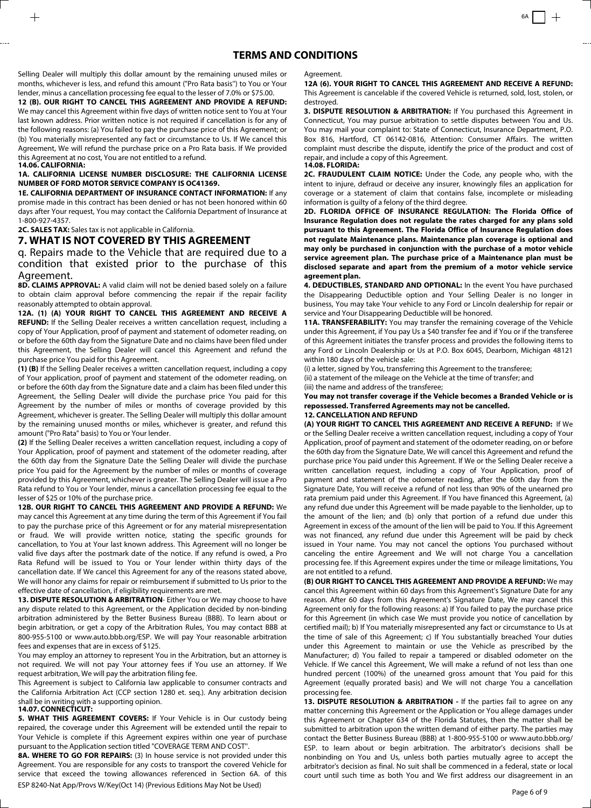Selling Dealer will multiply this dollar amount by the remaining unused miles or months, whichever is less, and refund this amount ("Pro Rata basis'') to You or Your lender, minus a cancellation processing fee equal to the lesser of 7.0% or \$75.00.

**12 (B). OUR RIGHT TO CANCEL THIS AGREEMENT AND PROVIDE A REFUND:** We may cancel this Agreement within five days of written notice sent to You at Your last known address. Prior written notice is not required if cancellation is for any of the following reasons: (a) You failed to pay the purchase price of this Agreement; or (b) You materially misrepresented any fact or circumstance to Us. If We cancel this Agreement, We will refund the purchase price on a Pro Rata basis. If We provided this Agreement at no cost, You are not entitled to a refund. **14.06. CALIFORNIA:** 

### **1A. CALIFORNIA LICENSE NUMBER DISCLOSURE: THE CALIFORNIA LICENSE NUMBER OF FORD MOTOR SERVICE COMPANY IS OC41369.**

**1E. CALIFORNIA DEPARTMENT OF INSURANCE CONTACT INFORMATION:** If any promise made in this contract has been denied or has not been honored within 60 days after Your request, You may contact the California Department of Insurance at 1-800-927-4357.

**2C. SALES TAX:** Sales tax is not applicable in California.

### **7. WHAT IS NOT COVERED BY THIS AGREEMENT**

q. Repairs made to the Vehicle that are required due to a condition that existed prior to the purchase of this Agreement.

**8D. CLAIMS APPROVAL:** A valid claim will not be denied based solely on a failure to obtain claim approval before commencing the repair if the repair facility reasonably attempted to obtain approval.

**12A. (1) (A) YOUR RIGHT TO CANCEL THIS AGREEMENT AND RECEIVE A REFUND:** If the Selling Dealer receives a written cancellation request, including a copy of Your Application, proof of payment and statement of odometer reading, on or before the 60th day from the Signature Date and no claims have been filed under this Agreement, the Selling Dealer will cancel this Agreement and refund the purchase price You paid for this Agreement.

**(1) (B)** If the Selling Dealer receives a written cancellation request, including a copy of Your application, proof of payment and statement of the odometer reading, on or before the 60th day from the Signature date and a claim has been filed under this Agreement, the Selling Dealer will divide the purchase price You paid for this Agreement by the number of miles or months of coverage provided by this Agreement, whichever is greater. The Selling Dealer will multiply this dollar amount by the remaining unused months or miles, whichever is greater, and refund this amount ("Pro Rata" basis) to You or Your lender.

**(2)** If the Selling Dealer receives a written cancellation request, including a copy of Your Application, proof of payment and statement of the odometer reading, after the 60th day from the Signature Date the Selling Dealer will divide the purchase price You paid for the Agreement by the number of miles or months of coverage provided by this Agreement, whichever is greater. The Selling Dealer will issue a Pro Rata refund to You or Your lender, minus a cancellation processing fee equal to the lesser of \$25 or 10% of the purchase price.

**12B. OUR RIGHT TO CANCEL THIS AGREEMENT AND PROVIDE A REFUND:** We may cancel this Agreement at any time during the term of this Agreement if You fail to pay the purchase price of this Agreement or for any material misrepresentation or fraud. We will provide written notice, stating the specific grounds for cancellation, to You at Your last known address. This Agreement will no longer be valid five days after the postmark date of the notice. If any refund is owed, a Pro Rata Refund will be issued to You or Your lender within thirty days of the cancellation date. If We cancel this Agreement for any of the reasons stated above, We will honor any claims for repair or reimbursement if submitted to Us prior to the effective date of cancellation, if eligibility requirements are met.

**13. DISPUTE RESOLUTION & ARBITRATION**- Either You or We may choose to have any dispute related to this Agreement, or the Application decided by non-binding arbitration administered by the Better Business Bureau (BBB). To learn about or begin arbitration, or get a copy of the Arbitration Rules, You may contact BBB at 800-955-5100 or www.auto.bbb.org/ESP. We will pay Your reasonable arbitration fees and expenses that are in excess of \$125.

You may employ an attorney to represent You in the Arbitration, but an attorney is not required. We will not pay Your attorney fees if You use an attorney. If We request arbitration, We will pay the arbitration filing fee.

This Agreement is subject to California law applicable to consumer contracts and the California Arbitration Act (CCP section 1280 et. seq.). Any arbitration decision shall be in writing with a supporting opinion.

### **14.07. CONNECTICUT:**

**5. WHAT THIS AGREEMENT COVERS:** If Your Vehicle is in Our custody being repaired, the coverage under this Agreement will be extended until the repair to Your Vehicle is complete if this Agreement expires within one year of purchase pursuant to the Application section titled "COVERAGE TERM AND COST''.

ESP 8240-Nat App/Provs W/Key(Oct 14) (Previous Editions May Not be Used)<br>Page 6 of 9 **8A. WHERE TO GO FOR REPAIRS:** (3) In house service is not provided under this Agreement. You are responsible for any costs to transport the covered Vehicle for service that exceed the towing allowances referenced in Section 6A. of this

Agreement.

**12A (6). YOUR RIGHT TO CANCEL THIS AGREEMENT AND RECEIVE A REFUND:** This Agreement is cancelable if the covered Vehicle is returned, sold, lost, stolen, or destroyed.

**3. DISPUTE RESOLUTION & ARBITRATION:** If You purchased this Agreement in Connecticut, You may pursue arbitration to settle disputes between You and Us. You may mail your complaint to: State of Connecticut, Insurance Department, P.O. Box 816, Hartford, CT 06142-0816, Attention: Consumer Affairs. The written complaint must describe the dispute, identify the price of the product and cost of repair, and include a copy of this Agreement.

**14.08. FLORIDA:** 

**2C. FRAUDULENT CLAIM NOTICE:** Under the Code, any people who, with the intent to injure, defraud or deceive any insurer, knowingly files an application for coverage or a statement of claim that contains false, incomplete or misleading information is guilty of a felony of the third degree.

**2D. FLORIDA OFFICE OF INSURANCE REGULATION: The Florida Office of Insurance Regulation does not regulate the rates charged for any plans sold pursuant to this Agreement. The Florida Office of Insurance Regulation does not regulate Maintenance plans. Maintenance plan coverage is optional and may only be purchased in conjunction with the purchase of a motor vehicle service agreement plan. The purchase price of a Maintenance plan must be disclosed separate and apart from the premium of a motor vehicle service agreement plan.** 

**4. DEDUCTIBLES, STANDARD AND OPTIONAL:** In the event You have purchased the Disappearing Deductible option and Your Selling Dealer is no longer in business, You may take Your vehicle to any Ford or Lincoln dealership for repair or service and Your Disappearing Deductible will be honored.

**11A. TRANSFERABILITY:** You may transfer the remaining coverage of the Vehicle under this Agreement, if You pay Us a \$40 transfer fee and if You or if the transferee of this Agreement initiates the transfer process and provides the following items to any Ford or Lincoln Dealership or Us at P.O. Box 6045, Dearborn, Michigan 48121 within 180 days of the vehicle sale:

(i) a letter, signed by You, transferring this Agreement to the transferee; (ii) a statement of the mileage on the Vehicle at the time of transfer; and (iii) the name and address of the transferee;

**You may not transfer coverage if the Vehicle becomes a Branded Vehicle or is repossessed. Transferred Agreements may not be cancelled. 12. CANCELLATION AND REFUND** 

**(A) YOUR RIGHT TO CANCEL THIS AGREEMENT AND RECEIVE A REFUND:** If We or the Selling Dealer receive a written cancellation request, including a copy of Your Application, proof of payment and statement of the odometer reading, on or before the 60th day from the Signature Date, We will cancel this Agreement and refund the purchase price You paid under this Agreement. If We or the Selling Dealer receive a written cancellation request, including a copy of Your Application, proof of payment and statement of the odometer reading, after the 60th day from the Signature Date, You will receive a refund of not less than 90% of the unearned pro rata premium paid under this Agreement. If You have financed this Agreement, (a) any refund due under this Agreement will be made payable to the lienholder, up to the amount of the lien; and (b) only that portion of a refund due under this Agreement in excess of the amount of the lien will be paid to You. If this Agreement was not financed, any refund due under this Agreement will be paid by check issued in Your name. You may not cancel the options You purchased without canceling the entire Agreement and We will not charge You a cancellation processing fee. If this Agreement expires under the time or mileage limitations, You are not entitled to a refund.

**(B) OUR RIGHT TO CANCEL THIS AGREEMENT AND PROVIDE A REFUND:** We may cancel this Agreement within 60 days from this Agreement's Signature Date for any reason. After 60 days from this Agreement's Signature Date, We may cancel this Agreement only for the following reasons: a) If You failed to pay the purchase price for this Agreement (in which case We must provide you notice of cancellation by certified mail); b) If You materially misrepresented any fact or circumstance to Us at the time of sale of this Agreement; c) If You substantially breached Your duties under this Agreement to maintain or use the Vehicle as prescribed by the Manufacturer; d) You failed to repair a tampered or disabled odometer on the Vehicle. If We cancel this Agreement, We will make a refund of not less than one hundred percent (100%) of the unearned gross amount that You paid for this Agreement (equally prorated basis) and We will not charge You a cancellation processing fee.

**13. DISPUTE RESOLUTION & ARBITRATION -** If the parties fail to agree on any matter concerning this Agreement or the Application or You allege damages under this Agreement or Chapter 634 of the Florida Statutes, then the matter shall be submitted to arbitration upon the written demand of either party. The parties may contact the Better Business Bureau (BBB) at 1-800-955-5100 or www.auto.bbb.org/ ESP. to learn about or begin arbitration. The arbitrator's decisions shall be nonbinding on You and Us, unless both parties mutually agree to accept the arbitrator's decision as final. No suit shall be commenced in a federal, state or local court until such time as both You and We first address our disagreement in an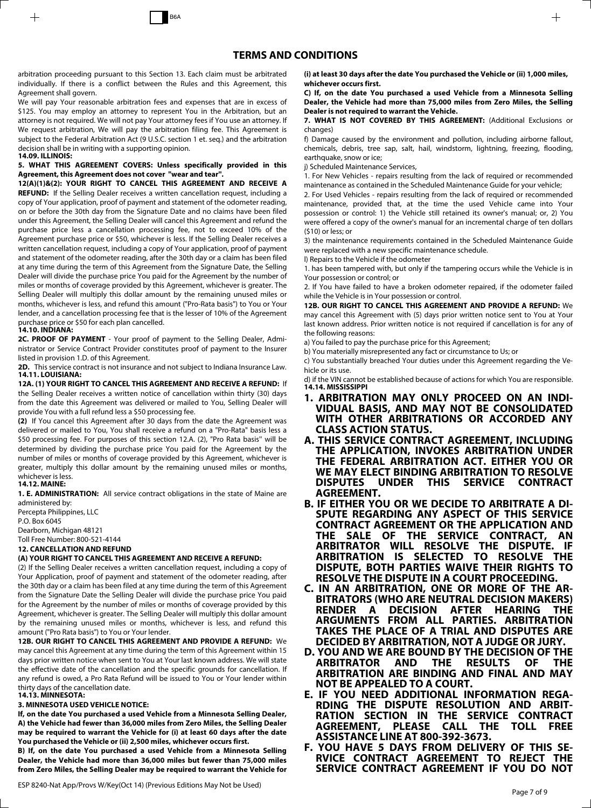arbitration proceeding pursuant to this Section 13. Each claim must be arbitrated individually. If there is a conflict between the Rules and this Agreement, this Agreement shall govern.

We will pay Your reasonable arbitration fees and expenses that are in excess of \$125. You may employ an attorney to represent You in the Arbitration, but an attorney is not required. We will not pay Your attorney fees if You use an attorney. If We request arbitration, We will pay the arbitration filing fee. This Agreement is subject to the Federal Arbitration Act (9 U.S.C. section 1 et. seq.) and the arbitration decision shall be in writing with a supporting opinion. **14.09. ILLINOIS:** 

### **5. WHAT THIS AGREEMENT COVERS: Unless specifically provided in this Agreement, this Agreement does not cover "wear and tear''.**

**12(A)(1)&(2): YOUR RIGHT TO CANCEL THIS AGREEMENT AND RECEIVE A REFUND:** If the Selling Dealer receives a written cancellation request, including a copy of Your application, proof of payment and statement of the odometer reading, on or before the 30th day from the Signature Date and no claims have been filed under this Agreement, the Selling Dealer will cancel this Agreement and refund the purchase price less a cancellation processing fee, not to exceed 10% of the Agreement purchase price or \$50, whichever is less. If the Selling Dealer receives a written cancellation request, including a copy of Your application, proof of payment and statement of the odometer reading, after the 30th day or a claim has been filed at any time during the term of this Agreement from the Signature Date, the Selling Dealer will divide the purchase price You paid for the Agreement by the number of miles or months of coverage provided by this Agreement, whichever is greater. The Selling Dealer will multiply this dollar amount by the remaining unused miles or months, whichever is less, and refund this amount ("Pro-Rata basis") to You or Your lender, and a cancellation processing fee that is the lesser of 10% of the Agreement purchase price or \$50 for each plan cancelled.

### **14.10. INDIANA:**

**2C. PROOF OF PAYMENT** - Your proof of payment to the Selling Dealer, Administrator or Service Contract Provider constitutes proof of payment to the Insurer listed in provision 1.D. of this Agreement.

**2D.** This service contract is not insurance and not subject to Indiana Insurance Law. **14.11. LOUISIANA:** 

**12A. (1) YOUR RIGHT TO CANCEL THIS AGREEMENT AND RECEIVE A REFUND:** If the Selling Dealer receives a written notice of cancellation within thirty (30) days from the date this Agreement was delivered or mailed to You, Selling Dealer will provide You with a full refund less a \$50 processing fee.

**(2)** If You cancel this Agreement after 30 days from the date the Agreement was delivered or mailed to You, You shall receive a refund on a "Pro-Rata" basis less a \$50 processing fee. For purposes of this section 12.A. (2), "Pro Rata basis'' will be determined by dividing the purchase price You paid for the Agreement by the number of miles or months of coverage provided by this Agreement, whichever is greater, multiply this dollar amount by the remaining unused miles or months, whichever is less.

### **14.12. MAINE:**

**1. E. ADMINISTRATION:** All service contract obligations in the state of Maine are administered by:

Percepta Philippines, LLC P.O. Box 6045 Dearborn, Michigan 48121 Toll Free Number: 800-521-4144

### **12. CANCELLATION AND REFUND**

### **(A) YOUR RIGHT TO CANCEL THIS AGREEMENT AND RECEIVE A REFUND:**

(2) If the Selling Dealer receives a written cancellation request, including a copy of Your Application, proof of payment and statement of the odometer reading, after the 30th day or a claim has been filed at any time during the term of this Agreement from the Signature Date the Selling Dealer will divide the purchase price You paid for the Agreement by the number of miles or months of coverage provided by this Agreement, whichever is greater. The Selling Dealer will multiply this dollar amount by the remaining unused miles or months, whichever is less, and refund this amount ("Pro Rata basis") to You or Your lender.

**12B. OUR RIGHT TO CANCEL THIS AGREEMENT AND PROVIDE A REFUND:** We may cancel this Agreement at any time during the term of this Agreement within 15 days prior written notice when sent to You at Your last known address. We will state the effective date of the cancellation and the specific grounds for cancellation. If any refund is owed, a Pro Rata Refund will be issued to You or Your lender within thirty days of the cancellation date.

## **14.13. MINNESOTA:**

### **3. MINNESOTA USED VEHICLE NOTICE:**

**If, on the date You purchased a used Vehicle from a Minnesota Selling Dealer, A) the Vehicle had fewer than 36,000 miles from Zero Miles, the Selling Dealer may be required to warrant the Vehicle for (i) at least 60 days after the date You purchased the Vehicle or (ii) 2,500 miles, whichever occurs first.**

**B) If, on the date You purchased a used Vehicle from a Minnesota Selling Dealer, the Vehicle had more than 36,000 miles but fewer than 75,000 miles from Zero Miles, the Selling Dealer may be required to warrant the Vehicle for**

ESP 8240-Nat App/Provs W/Key(Oct 14) (Previous Editions May Not be Used)<br>Page 7 of 9

**(i) at least 30 days after the date You purchased the Vehicle or (ii) 1,000 miles, whichever occurs first.** 

**C) If, on the date You purchased a used Vehicle from a Minnesota Selling Dealer, the Vehicle had more than 75,000 miles from Zero Miles, the Selling Dealer is not required to warrant the Vehicle.** 

**7. WHAT IS NOT COVERED BY THIS AGREEMENT:** (Additional Exclusions or changes)

f) Damage caused by the environment and pollution, including airborne fallout, chemicals, debris, tree sap, salt, hail, windstorm, lightning, freezing, flooding, earthquake, snow or ice;

j) Scheduled Maintenance Services,

1. For New Vehicles - repairs resulting from the lack of required or recommended maintenance as contained in the Scheduled Maintenance Guide for your vehicle;

2. For Used Vehicles - repairs resulting from the lack of required or recommended maintenance, provided that, at the time the used Vehicle came into Your possession or control: 1) the Vehicle still retained its owner's manual; or, 2) You were offered a copy of the owner's manual for an incremental charge of ten dollars (\$10) or less; or

3) the maintenance requirements contained in the Scheduled Maintenance Guide were replaced with a new specific maintenance schedule.

l) Repairs to the Vehicle if the odometer

1. has been tampered with, but only if the tampering occurs while the Vehicle is in Your possession or control; or

2. If You have failed to have a broken odometer repaired, if the odometer failed while the Vehicle is in Your possession or control.

**12B. OUR RIGHT TO CANCEL THIS AGREEMENT AND PROVIDE A REFUND:** We may cancel this Agreement with (5) days prior written notice sent to You at Your last known address. Prior written notice is not required if cancellation is for any of the following reasons:

a) You failed to pay the purchase price for this Agreement;

b) You materially misrepresented any fact or circumstance to Us; or

c) You substantially breached Your duties under this Agreement regarding the Vehicle or its use.

d) if the VIN cannot be established because of actions for which You are responsible. **14.14. MISSISSIPPI** 

- **1. ARBITRATION MAY ONLY PROCEED ON AN INDI-VIDUAL BASIS, AND MAY NOT BE CONSOLIDATED WITH OTHER ARBITRATIONS OR ACCORDED ANY CLASS ACTION STATUS.**
- **A. THIS SERVICE CONTRACT AGREEMENT, INCLUDING THE APPLICATION, INVOKES ARBITRATION UNDER THE FEDERAL ARBITRATION ACT. EITHER YOU OR WE MAY ELECT BINDING ARBITRATION TO RESOLVE DISPUTES UNDER THIS SERVICE CONTRACT AGREEMENT.**
- **B. IF EITHER YOU OR WE DECIDE TO ARBITRATE A DI-SPUTE REGARDING ANY ASPECT OF THIS SERVICE CONTRACT AGREEMENT OR THE APPLICATION AND THE SALE OF THE SERVICE CONTRACT, AN ARBITRATOR WILL RESOLVE THE DISPUTE. IF ARBITRATION IS SELECTED TO RESOLVE THE DISPUTE, BOTH PARTIES WAIVE THEIR RIGHTS TO RESOLVE THE DISPUTE IN A COURT PROCEEDING.**
- **C. IN AN ARBITRATION, ONE OR MORE OF THE AR-BITRATORS (WHO ARE NEUTRAL DECISION MAKERS) RENDER A DECISION AFTER HEARING ARGUMENTS FROM ALL PARTIES. ARBITRATION TAKES THE PLACE OF A TRIAL AND DISPUTES ARE DECIDED BY ARBITRATION, NOT A JUDGE OR JURY.**
- **D. YOU AND WE ARE BOUND BY THE DECISION OF THE AND THE RESULTS ARBITRATION ARE BINDING AND FINAL AND MAY NOT BE APPEALED TO A COURT.**
- **E. IF YOU NEED ADDITIONAL INFORMATION REGA-RDING THE DISPUTE RESOLUTION AND ARBIT-RATION SECTION IN THE SERVICE CONTRACT AGREEMENT, PLEASE CALL THE TOLL FREE ASSISTANCE LINE AT 800-392-3673.**
- **F. YOU HAVE 5 DAYS FROM DELIVERY OF THIS SE-RVICE CONTRACT AGREEMENT TO REJECT THE SERVICE CONTRACT AGREEMENT IF YOU DO NOT**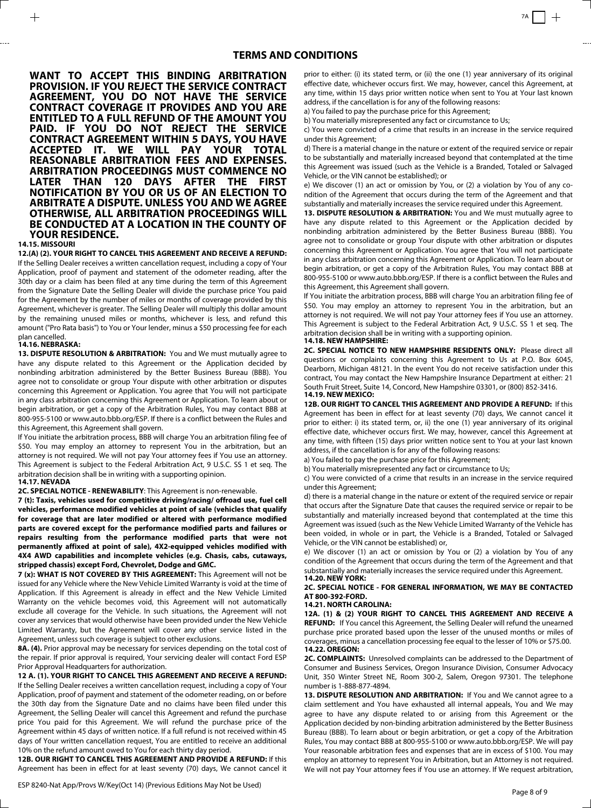**WANT TO ACCEPT THIS BINDING ARBITRATION PROVISION. IF YOU REJECT THE SERVICE CONTRACT AGREEMENT, YOU DO NOT HAVE THE SERVICE CONTRACT COVERAGE IT PROVIDES AND YOU ARE ENTITLED TO A FULL REFUND OF THE AMOUNT YOU PAID. IF YOU DO NOT REJECT THE SERVICE CONTRACT AGREEMENT WITHIN 5 DAYS, YOU HAVE ACCEPTED IT. WE WILL PAY YOUR TOTAL REASONABLE ARBITRATION FEES AND EXPENSES. ARBITRATION PROCEEDINGS MUST COMMENCE NO LATER THAN 120 DAYS AFTER THE FIRST NOTIFICATION BY YOU OR US OF AN ELECTION TO ARBITRATE A DISPUTE. UNLESS YOU AND WE AGREE OTHERWISE, ALL ARBITRATION PROCEEDINGS WILL BE CONDUCTED AT A LOCATION IN THE COUNTY OF YOUR RESIDENCE.**

#### **14.15. MISSOURI**

**12.(A) (2). YOUR RIGHT TO CANCEL THIS AGREEMENT AND RECEIVE A REFUND:** If the Selling Dealer receives a written cancellation request, including a copy of Your Application, proof of payment and statement of the odometer reading, after the 30th day or a claim has been filed at any time during the term of this Agreement from the Signature Date the Selling Dealer will divide the purchase price You paid for the Agreement by the number of miles or months of coverage provided by this Agreement, whichever is greater. The Selling Dealer will multiply this dollar amount by the remaining unused miles or months, whichever is less, and refund this amount ("Pro Rata basis") to You or Your lender, minus a \$50 processing fee for each plan cancelled.

### **14.16. NEBRASKA:**

**13. DISPUTE RESOLUTION & ARBITRATION:** You and We must mutually agree to have any dispute related to this Agreement or the Application decided by nonbinding arbitration administered by the Better Business Bureau (BBB). You agree not to consolidate or group Your dispute with other arbitration or disputes concerning this Agreement or Application. You agree that You will not participate in any class arbitration concerning this Agreement or Application. To learn about or begin arbitration, or get a copy of the Arbitration Rules, You may contact BBB at 800-955-5100 or www.auto.bbb.org/ESP. If there is a conflict between the Rules and this Agreement, this Agreement shall govern.

If You initiate the arbitration process, BBB will charge You an arbitration filing fee of \$50. You may employ an attorney to represent You in the arbitration, but an attorney is not required. We will not pay Your attorney fees if You use an attorney. This Agreement is subject to the Federal Arbitration Act, 9 U.S.C. SS 1 et seq. The arbitration decision shall be in writing with a supporting opinion.

#### **14.17. NEVADA**

**2C. SPECIAL NOTICE - RENEWABILITY**: This Agreement is non-renewable.

**7 (t): Taxis, vehicles used for competitive driving/racing/ offroad use, fuel cell vehicles, performance modified vehicles at point of sale (vehicles that qualify for coverage that are later modified or altered with performance modified parts are covered except for the performance modified parts and failures or repairs resulting from the performance modified parts that were not permanently affixed at point of sale), 4X2-equipped vehicles modified with 4X4 AWD capabilities and incomplete vehicles (e.g. Chasis, cabs, cutaways, stripped chassis) except Ford, Chevrolet, Dodge and GMC.** 

**7 (x): WHAT IS NOT COVERED BY THIS AGREEMENT:** This Agreement will not be issued for any Vehicle where the New Vehicle Limited Warranty is void at the time of Application. If this Agreement is already in effect and the New Vehicle Limited Warranty on the vehicle becomes void, this Agreement will not automatically exclude all coverage for the Vehicle. In such situations, the Agreement will not cover any services that would otherwise have been provided under the New Vehicle Limited Warranty, but the Agreement will cover any other service listed in the Agreement, unless such coverage is subject to other exclusions.

**8A. (4).** Prior approval may be necessary for services depending on the total cost of the repair. If prior approval is required, Your servicing dealer will contact Ford ESP Prior Approval Headquarters for authorization.

### **12 A. (1). YOUR RIGHT TO CANCEL THIS AGREEMENT AND RECEIVE A REFUND:**

If the Selling Dealer receives a written cancellation request, including a copy of Your Application, proof of payment and statement of the odometer reading, on or before the 30th day from the Signature Date and no claims have been filed under this Agreement, the Selling Dealer will cancel this Agreement and refund the purchase price You paid for this Agreement. We will refund the purchase price of the Agreement within 45 days of written notice. If a full refund is not received within 45 days of Your written cancellation request, You are entitled to receive an additional 10% on the refund amount owed to You for each thirty day period.

**12B. OUR RIGHT TO CANCEL THIS AGREEMENT AND PROVIDE A REFUND:** If this Agreement has been in effect for at least seventy (70) days, We cannot cancel it

ESP 8240-Nat App/Provs W/Key(Oct 14) (Previous Editions May Not be Used)<br>Page 8 of 9

prior to either: (i) its stated term, or (ii) the one (1) year anniversary of its original effective date, whichever occurs first. We may, however, cancel this Agreement, at any time, within 15 days prior written notice when sent to You at Your last known address, if the cancellation is for any of the following reasons:

a) You failed to pay the purchase price for this Agreement;

b) You materially misrepresented any fact or circumstance to Us;

c) You were convicted of a crime that results in an increase in the service required under this Agreement;

d) There is a material change in the nature or extent of the required service or repair to be substantially and materially increased beyond that contemplated at the time this Agreement was issued (such as the Vehicle is a Branded, Totaled or Salvaged Vehicle, or the VIN cannot be established); or

e) We discover (1) an act or omission by You, or (2) a violation by You of any condition of the Agreement that occurs during the term of the Agreement and that substantially and materially increases the service required under this Agreement.

**13. DISPUTE RESOLUTION & ARBITRATION:** You and We must mutually agree to have any dispute related to this Agreement or the Application decided by nonbinding arbitration administered by the Better Business Bureau (BBB). You agree not to consolidate or group Your dispute with other arbitration or disputes concerning this Agreement or Application. You agree that You will not participate in any class arbitration concerning this Agreement or Application. To learn about or begin arbitration, or get a copy of the Arbitration Rules, You may contact BBB at 800-955-5100 or www.auto.bbb.org/ESP. If there is a conflict between the Rules and this Agreement, this Agreement shall govern.

If You initiate the arbitration process, BBB will charge You an arbitration filing fee of \$50. You may employ an attorney to represent You in the arbitration, but an attorney is not required. We will not pay Your attorney fees if You use an attorney. This Agreement is subject to the Federal Arbitration Act, 9 U.S.C. SS 1 et seq. The arbitration decision shall be in writing with a supporting opinion. **14.18. NEW HAMPSHIRE:** 

**2C. SPECIAL NOTICE TO NEW HAMPSHIRE RESIDENTS ONLY:** Please direct all questions or complaints concerning this Agreement to Us at P.O. Box 6045, Dearborn, Michigan 48121. In the event You do not receive satisfaction under this contract, You may contact the New Hampshire Insurance Department at either: 21 South Fruit Street, Suite 14, Concord, New Hampshire 03301, or (800) 852-3416. **14.19. NEW MEXICO:** 

**12B. OUR RIGHT TO CANCEL THIS AGREEMENT AND PROVIDE A REFUND:** If this Agreement has been in effect for at least seventy (70) days, We cannot cancel it prior to either: i) its stated term, or, ii) the one (1) year anniversary of its original effective date, whichever occurs first. We may, however, cancel this Agreement at any time, with fifteen (15) days prior written notice sent to You at your last known address, if the cancellation is for any of the following reasons:

a) You failed to pay the purchase price for this Agreement;

b) You materially misrepresented any fact or circumstance to Us;

c) You were convicted of a crime that results in an increase in the service required under this Agreement;

d) there is a material change in the nature or extent of the required service or repair that occurs after the Signature Date that causes the required service or repair to be substantially and materially increased beyond that contemplated at the time this Agreement was issued (such as the New Vehicle Limited Warranty of the Vehicle has been voided, in whole or in part, the Vehicle is a Branded, Totaled or Salvaged Vehicle, or the VIN cannot be established) or,

e) We discover (1) an act or omission by You or (2) a violation by You of any condition of the Agreement that occurs during the term of the Agreement and that substantially and materially increases the service required under this Agreement. **14.20. NEW YORK:** 

**2C. SPECIAL NOTICE - FOR GENERAL INFORMATION, WE MAY BE CONTACTED AT 800-392-FORD.**

### **14.21. NORTH CAROLINA:**

**12A. (1) & (2) YOUR RIGHT TO CANCEL THIS AGREEMENT AND RECEIVE A REFUND:** If You cancel this Agreement, the Selling Dealer will refund the unearned purchase price prorated based upon the lesser of the unused months or miles of coverages, minus a cancellation processing fee equal to the lesser of 10% or \$75.00. **14.22. OREGON:** 

**2C. COMPLAINTS:** Unresolved complaints can be addressed to the Department of Consumer and Business Services, Oregon Insurance Division, Consumer Advocacy Unit, 350 Winter Street NE, Room 300-2, Salem, Oregon 97301. The telephone number is 1-888-877-4894.

13. DISPUTE RESOLUTION AND ARBITRATION: If You and We cannot agree to a claim settlement and You have exhausted all internal appeals, You and We may agree to have any dispute related to or arising from this Agreement or the Application decided by non-binding arbitration administered by the Better Business Bureau (BBB). To learn about or begin arbitration, or get a copy of the Arbitration Rules, You may contact BBB at 800-955-5100 or www.auto.bbb.org/ESP. We will pay Your reasonable arbitration fees and expenses that are in excess of \$100. You may employ an attorney to represent You in Arbitration, but an Attorney is not required. We will not pay Your attorney fees if You use an attorney. If We request arbitration,